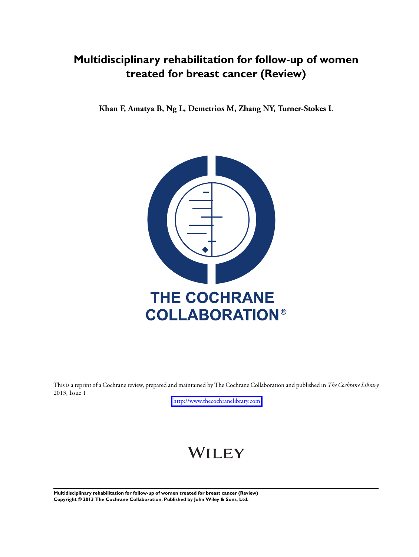# **Multidisciplinary rehabilitation for follow-up of women treated for breast cancer (Review)**

**Khan F, Amatya B, Ng L, Demetrios M, Zhang NY, Turner-Stokes L**



This is a reprint of a Cochrane review, prepared and maintained by The Cochrane Collaboration and published in *The Cochrane Library* 2013, Issue 1

<http://www.thecochranelibrary.com>

# WILEY

**Multidisciplinary rehabilitation for follow-up of women treated for breast cancer (Review) Copyright © 2013 The Cochrane Collaboration. Published by John Wiley & Sons, Ltd.**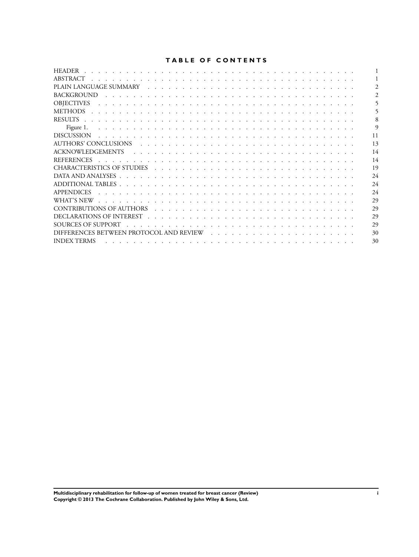# **TABLE OF CONTENTS**

| 11 |
|----|
| 13 |
| 14 |
| 14 |
| 19 |
| 24 |
| 24 |
| 24 |
| 29 |
| 29 |
| 29 |
| 29 |
| 30 |
| 30 |
|    |

**Multidisciplinary rehabilitation for follow-up of women treated for breast cancer (Review) i Copyright © 2013 The Cochrane Collaboration. Published by John Wiley & Sons, Ltd.**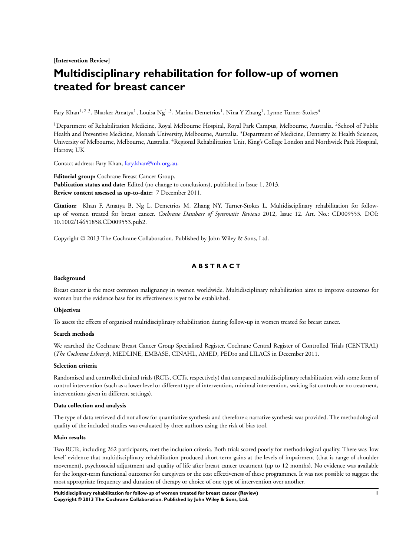**[Intervention Review]**

# **Multidisciplinary rehabilitation for follow-up of women treated for breast cancer**

Fary Khan<sup>1,2,3</sup>, Bhasker Amatya<sup>1</sup>, Louisa Ng<sup>1,3</sup>, Marina Demetrios<sup>1</sup>, Nina Y Zhang<sup>1</sup>, Lynne Turner-Stokes<sup>4</sup>

<sup>1</sup>Department of Rehabilitation Medicine, Royal Melbourne Hospital, Royal Park Campus, Melbourne, Australia. <sup>2</sup>School of Public Health and Preventive Medicine, Monash University, Melbourne, Australia. <sup>3</sup>Department of Medicine, Dentistry & Health Sciences, University of Melbourne, Melbourne, Australia. <sup>4</sup>Regional Rehabilitation Unit, King's College London and Northwick Park Hospital, Harrow, UK

Contact address: Fary Khan, [fary.khan@mh.org.au](mailto:fary.khan@mh.org.au).

**Editorial group:** Cochrane Breast Cancer Group. **Publication status and date:** Edited (no change to conclusions), published in Issue 1, 2013. **Review content assessed as up-to-date:** 7 December 2011.

**Citation:** Khan F, Amatya B, Ng L, Demetrios M, Zhang NY, Turner-Stokes L. Multidisciplinary rehabilitation for followup of women treated for breast cancer. *Cochrane Database of Systematic Reviews* 2012, Issue 12. Art. No.: CD009553. DOI: 10.1002/14651858.CD009553.pub2.

Copyright © 2013 The Cochrane Collaboration. Published by John Wiley & Sons, Ltd.

# **A B S T R A C T**

#### **Background**

Breast cancer is the most common malignancy in women worldwide. Multidisciplinary rehabilitation aims to improve outcomes for women but the evidence base for its effectiveness is yet to be established.

#### **Objectives**

To assess the effects of organised multidisciplinary rehabilitation during follow-up in women treated for breast cancer.

#### **Search methods**

We searched the Cochrane Breast Cancer Group Specialised Register, Cochrane Central Register of Controlled Trials (CENTRAL) (*The Cochrane Library*), MEDLINE, EMBASE, CINAHL, AMED, PEDro and LILACS in December 2011.

#### **Selection criteria**

Randomised and controlled clinical trials (RCTs, CCTs, respectively) that compared multidisciplinary rehabilitation with some form of control intervention (such as a lower level or different type of intervention, minimal intervention, waiting list controls or no treatment, interventions given in different settings).

# **Data collection and analysis**

The type of data retrieved did not allow for quantitative synthesis and therefore a narrative synthesis was provided. The methodological quality of the included studies was evaluated by three authors using the risk of bias tool.

#### **Main results**

Two RCTs, including 262 participants, met the inclusion criteria. Both trials scored poorly for methodological quality. There was 'low level' evidence that multidisciplinary rehabilitation produced short-term gains at the levels of impairment (that is range of shoulder movement), psychosocial adjustment and quality of life after breast cancer treatment (up to 12 months). No evidence was available for the longer-term functional outcomes for caregivers or the cost effectiveness of these programmes. It was not possible to suggest the most appropriate frequency and duration of therapy or choice of one type of intervention over another.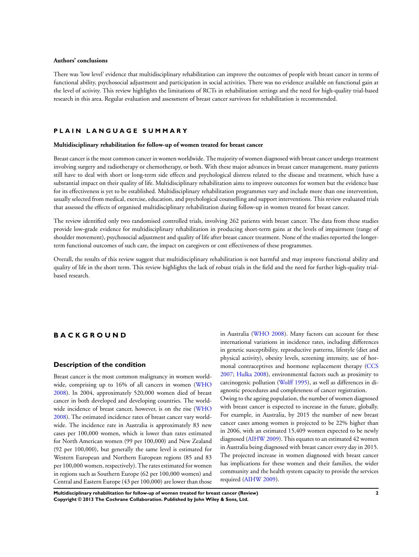#### <span id="page-3-0"></span>**Authors' conclusions**

There was 'low level' evidence that multidisciplinary rehabilitation can improve the outcomes of people with breast cancer in terms of functional ability, psychosocial adjustment and participation in social activities. There was no evidence available on functional gain at the level of activity. This review highlights the limitations of RCTs in rehabilitation settings and the need for high-quality trial-based research in this area. Regular evaluation and assessment of breast cancer survivors for rehabilitation is recommended.

# **P L A I N L A N G U A G E S U M M A R Y**

#### **Multidisciplinary rehabilitation for follow-up of women treated for breast cancer**

Breast cancer is the most common cancer in women worldwide. The majority of women diagnosed with breast cancer undergo treatment involving surgery and radiotherapy or chemotherapy, or both. With these major advances in breast cancer management, many patients still have to deal with short or long-term side effects and psychological distress related to the disease and treatment, which have a substantial impact on their quality of life. Multidisciplinary rehabilitation aims to improve outcomes for women but the evidence base for its effectiveness is yet to be established. Multidisciplinary rehabilitation programmes vary and include more than one intervention, usually selected from medical, exercise, education, and psychological counselling and support interventions. This review evaluated trials that assessed the effects of organised multidisciplinary rehabilitation during follow-up in women treated for breast cancer.

The review identified only two randomised controlled trials, involving 262 patients with breast cancer. The data from these studies provide low-grade evidence for multidisciplinary rehabilitation in producing short-term gains at the levels of impairment (range of shoulder movement), psychosocial adjustment and quality of life after breast cancer treatment. None of the studies reported the longerterm functional outcomes of such care, the impact on caregivers or cost effectiveness of these programmes.

Overall, the results of this review suggest that multidisciplinary rehabilitation is not harmful and may improve functional ability and quality of life in the short term. This review highlights the lack of robust trials in the field and the need for further high-quality trialbased research.

# **B A C K G R O U N D**

### **Description of the condition**

Breast cancer is the most common malignancy in women worldwide, comprising up to 16% of all cancers in women [\(WHO](#page-15-0) [2008](#page-15-0)). In 2004, approximately 520,000 women died of breast cancer in both developed and developing countries. The worldwide incidence of breast cancer, however, is on the rise [\(WHO](#page-15-0) [2008](#page-15-0)). The estimated incidence rates of breast cancer vary worldwide. The incidence rate in Australia is approximately 83 new cases per 100,000 women, which is lower than rates estimated for North American women (99 per 100,000) and New Zealand (92 per 100,000), but generally the same level is estimated for Western European and Northern European regions (85 and 83 per 100,000 women, respectively). The rates estimated for women in regions such as Southern Europe (62 per 100,000 women) and Central and Eastern Europe (43 per 100,000) are lower than those

in Australia ([WHO 2008](#page-15-0)). Many factors can account for these international variations in incidence rates, including differences in genetic susceptibility, reproductive patterns, lifestyle (diet and physical activity), obesity levels, screening intensity, use of hormonal contraceptives and hormone replacement therapy [\(CCS](#page-15-0) [2007](#page-15-0); [Hulka 2008\)](#page-15-0), environmental factors such as proximity to carcinogenic pollution ([Wolff 1995](#page-15-0)), as well as differences in diagnostic procedures and completeness of cancer registration. Owing to the ageing population, the number of women diagnosed with breast cancer is expected to increase in the future, globally. For example, in Australia, by 2015 the number of new breast cancer cases among women is projected to be 22% higher than in 2006, with an estimated 15,409 women expected to be newly diagnosed [\(AIHW 2009\)](#page-15-0). This equates to an estimated 42 women in Australia being diagnosed with breast cancer every day in 2015.

The projected increase in women diagnosed with breast cancer has implications for these women and their families, the wider community and the health system capacity to provide the services required [\(AIHW 2009](#page-15-0)).

**Multidisciplinary rehabilitation for follow-up of women treated for breast cancer (Review) 2 Copyright © 2013 The Cochrane Collaboration. Published by John Wiley & Sons, Ltd.**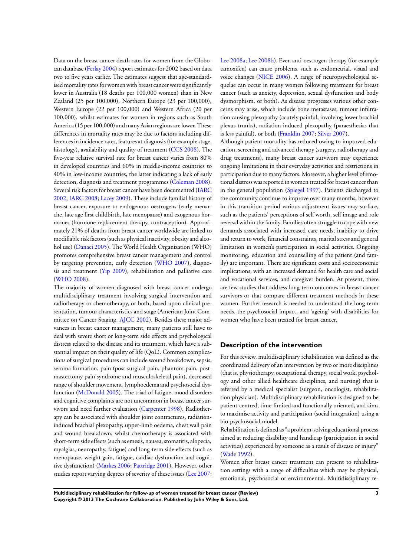Data on the breast cancer death rates for women from the Globocan database [\(Ferlay 2004\)](#page-15-0) report estimates for 2002 based on data two to five years earlier. The estimates suggest that age-standardised mortality rates for women with breast cancer were significantly lower in Australia (18 deaths per 100,000 women) than in New Zealand (25 per 100,000), Northern Europe (23 per 100,000), Western Europe (22 per 100,000) and Western Africa (20 per 100,000), whilst estimates for women in regions such as South America (15 per 100,000) and many Asian regions are lower. These differences in mortality rates may be due to factors including differences in incidence rates, features at diagnosis (for examplestage, histology), availability and quality of treatment ([CCS 2008\)](#page-15-0). The five-year relative survival rate for breast cancer varies from 80% in developed countries and 60% in middle-income countries to 40% in low-income countries, the latter indicating a lack of early detection, diagnosis and treatment programmes [\(Coleman 2008](#page-15-0)). Several risk factors for breast cancer have been documented ([IARC](#page-15-0) [2002](#page-15-0); [IARC 2008;](#page-15-0) [Lacey 2009\)](#page-15-0). These include familial history of breast cancer, exposure to endogenous oestrogens (early menarche, late age first childbirth, late menopause) and exogenous hormones (hormone replacement therapy, contraception). Approximately 21% of deaths from breast cancer worldwide are linked to modifiable risk factors (such as physical inactivity, obesity and alcohol use) ([Danaei 2005](#page-15-0)). The World Health Organization (WHO) promotes comprehensive breast cancer management and control by targeting prevention, early detection [\(WHO 2007](#page-15-0)), diagnosis and treatment [\(Yip 2009\)](#page-15-0), rehabilitation and palliative care [\(WHO 2008](#page-15-0)).

The majority of women diagnosed with breast cancer undergo multidisciplinary treatment involving surgical intervention and radiotherapy or chemotherapy, or both, based upon clinical presentation, tumour characteristics and stage (American Joint Committee on Cancer Staging, [AJCC 2002\)](#page-15-0). Besides these major advances in breast cancer management, many patients still have to deal with severe short or long-term side effects and psychological distress related to the disease and its treatment, which have a substantial impact on their quality of life (QoL). Common complications of surgical procedures can include wound breakdown, sepsis, seroma formation, pain (post-surgical pain, phantom pain, postmastectomy pain syndrome and musculoskeletal pain), decreased range of shoulder movement, lymphoedema and psychosocial dysfunction ([McDonald 2005\)](#page-15-0). The triad of fatigue, mood disorders and cognitive complaints are not uncommon in breast cancer survivors and need further evaluation ([Carpenter 1998](#page-15-0)). Radiotherapy can be associated with shoulder joint contractures, radiationinduced brachial plexopathy, upper-limb oedema, chest wall pain and wound breakdown; whilst chemotherapy is associated with short-term side effects (such as emesis, nausea, stomatitis, alopecia, myalgias, neuropathy, fatigue) and long-term side effects (such as menopause, weight gain, fatigue, cardiac dysfunction and cognitive dysfunction) ([Markes 2006](#page-15-0); [Pattridge 2001\)](#page-15-0). However, other studies report varying degrees of severity of these issues [\(Lee 2007;](#page-15-0)

[Lee 2008a;](#page-15-0) [Lee 2008b](#page-15-0)). Even anti-oestrogen therapy (for example tamoxifen) can cause problems, such as endometrial, visual and voice changes [\(NICE 2006\)](#page-15-0). A range of neuropsychological sequelae can occur in many women following treatment for breast cancer (such as anxiety, depression, sexual dysfunction and body dysmorphism, or both). As disease progresses various other concerns may arise, which include bone metastases, tumour infiltration causing plexopathy (acutely painful, involving lower brachial plexus trunks), radiation-induced plexopathy (paraesthesias that is less painful), or both ([Franklin 2007](#page-15-0); [Silver 2007](#page-15-0)).

Although patient mortality has reduced owing to improved education, screening and advanced therapy (surgery, radiotherapy and drug treatments), many breast cancer survivors may experience ongoing limitations in their everyday activities and restrictions in participation due to many factors. Moreover, a higher level of emotional distress was reported in women treated for breast cancer than in the general population [\(Spiegel 1997](#page-15-0)). Patients discharged to the community continue to improve over many months, however in this transition period various adjustment issues may surface, such as the patients' perceptions of self worth, self image and role reversal within the family. Families often struggle to cope with new demands associated with increased care needs, inability to drive and return to work, financial constraints, marital stress and general limitation in women's participation in social activities. Ongoing monitoring, education and counselling of the patient (and family) are important. There are significant costs and socioeconomic implications, with an increased demand for health care and social and vocational services, and caregiver burden. At present, there are few studies that address long-term outcomes in breast cancer survivors or that compare different treatment methods in these women. Further research is needed to understand the long-term needs, the psychosocial impact, and 'ageing' with disabilities for women who have been treated for breast cancer.

### **Description of the intervention**

For this review, multidisciplinary rehabilitation was defined as the coordinated delivery of an intervention by two or more disciplines (that is, physiotherapy, occupational therapy, social work, psychology and other allied healthcare disciplines, and nursing) that is referred by a medical specialist (surgeon, oncologist, rehabilitation physician). Multidisciplinary rehabilitation is designed to be patient-centred, time-limited and functionally oriented, and aims to maximise activity and participation (social integration) using a bio-psychosocial model.

Rehabilitation is defined as "a problem-solving educational process aimed at reducing disability and handicap (participation in social activities) experienced by someone as a result of disease or injury" [\(Wade 1992\)](#page-15-0).

Women after breast cancer treatment can present to rehabilitation settings with a range of difficulties which may be physical, emotional, psychosocial or environmental. Multidisciplinary re-

**Multidisciplinary rehabilitation for follow-up of women treated for breast cancer (Review) 3 Copyright © 2013 The Cochrane Collaboration. Published by John Wiley & Sons, Ltd.**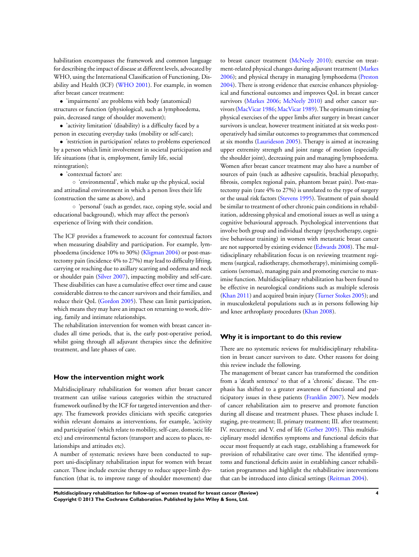habilitation encompasses the framework and common language for describing the impact of disease at different levels, advocated by WHO, using the International Classification of Functioning, Disability and Health (ICF) [\(WHO 2001\)](#page-15-0). For example, in women after breast cancer treatment:

• 'impairments' are problems with body (anatomical) structures or function (physiological, such as lymphoedema, pain, decreased range of shoulder movement);

• 'activity limitation' (disability) is a difficulty faced by a person in executing everyday tasks (mobility or self-care);

• 'restriction in participation' relates to problems experienced by a person which limit involvement in societal participation and life situations (that is, employment, family life, social reintegration);

• 'contextual factors' are:

◦ 'environmental', which make up the physical, social and attitudinal environment in which a person lives their life (construction the same as above), and

◦ 'personal' (such as gender, race, coping style, social and educational background), which may affect the person's experience of living with their condition.

The ICF provides a framework to account for contextual factors when measuring disability and participation. For example, lymphoedema (incidence 10% to 30%) [\(Kligman 2004](#page-15-0)) or post-mastectomy pain (incidence 4% to 27%) may lead to difficulty lifting, carrying or reaching due to axillary scarring and oedema and neck or shoulder pain ([Silver 2007\)](#page-15-0), impacting mobility and self-care. These disabilities can have a cumulative effect over time and cause considerable distress to the cancer survivors and their families, and reduce their QoL [\(Gordon 2005](#page-15-0)). These can limit participation, which means they may have an impact on returning to work, driving, family and intimate relationships.

The rehabilitation intervention for women with breast cancer includes all time periods, that is, the early post-operative period, whilst going through all adjuvant therapies since the definitive treatment, and late phases of care.

### **How the intervention might work**

Multidisciplinary rehabilitation for women after breast cancer treatment can utilise various categories within the structured framework outlined by the ICF for targeted intervention and therapy. The framework provides clinicians with specific categories within relevant domains as interventions, for example, 'activity and participation' (which relate to mobility, self-care, domestic life etc) and environmental factors (transport and access to places, relationships and attitudes etc).

A number of systematic reviews have been conducted to support uni-disciplinary rehabilitation input for women with breast cancer. These include exercise therapy to reduce upper-limb dysfunction (that is, to improve range of shoulder movement) due

to breast cancer treatment [\(McNeely 2010\)](#page-15-0); exercise on treatment-related physical changes during adjuvant treatment ([Markes](#page-15-0) [2006](#page-15-0)); and physical therapy in managing lymphoedema [\(Preston](#page-15-0) [2004](#page-15-0)). There is strong evidence that exercise enhances physiological and functional outcomes and improves QoL in breast cancer survivors [\(Markes 2006](#page-15-0); [McNeely 2010\)](#page-15-0) and other cancer survivors (MacVicar 1986; MacVicar 1989). The optimum timing for physical exercises of the upper limbs after surgery in breast cancer survivors is unclear, however treatment initiated at six weeks postoperatively had similar outcomes to programmes that commenced at six months [\(Laurideson 2005](#page-15-0)). Therapy is aimed at increasing upper extremity strength and joint range of motion (especially the shoulder joint), decreasing pain and managing lymphoedema. Women after breast cancer treatment may also have a number of sources of pain (such as adhesive capsulitis, brachial plexopathy, fibrosis, complex regional pain, phantom breast pain). Post-mastectomy pain (rate 4% to 27%) is unrelated to the type of surgery or the usual risk factors [\(Stevens 1995\)](#page-15-0). Treatment of pain should be similar to treatment of other chronic pain conditions in rehabilitation, addressing physical and emotional issues as well as using a cognitive behavioural approach. Psychological interventions that involve both group and individual therapy (psychotherapy, cognitive behaviour training) in women with metastatic breast cancer are not supported by existing evidence ([Edwards 2008](#page-15-0)). The multidisciplinary rehabilitation focus is on reviewing treatment regimens (surgical, radiotherapy, chemotherapy), minimising complications (seromas), managing pain and promoting exercise to maximise function. Multidisciplinary rehabilitation has been found to be effective in neurological conditions such as multiple sclerosis [\(Khan 2011\)](#page-15-0) and acquired brain injury [\(Turner Stokes 2005](#page-15-0)); and in musculoskeletal populations such as in persons following hip and knee arthroplasty procedures [\(Khan 2008\)](#page-15-0).

### **Why it is important to do this review**

There are no systematic reviews for multidisciplinary rehabilitation in breast cancer survivors to date. Other reasons for doing this review include the following.

The management of breast cancer has transformed the condition from a 'death sentence' to that of a 'chronic' disease. The emphasis has shifted to a greater awareness of functional and participatory issues in these patients [\(Franklin 2007](#page-15-0)). New models of cancer rehabilitation aim to preserve and promote function during all disease and treatment phases. These phases include I. staging, pre-treatment; II. primary treatment; III. after treatment; IV. recurrence; and V. end of life ([Gerber 2005](#page-15-0)). This multidisciplinary model identifies symptoms and functional deficits that occur most frequently at each stage, establishing a framework for provision of rehabilitative care over time. The identified symptoms and functional deficits assist in establishing cancer rehabilitation programmes and highlight the rehabilitative interventions that can be introduced into clinical settings [\(Reitman 2004\)](#page-15-0).

**Multidisciplinary rehabilitation for follow-up of women treated for breast cancer (Review) 4 Copyright © 2013 The Cochrane Collaboration. Published by John Wiley & Sons, Ltd.**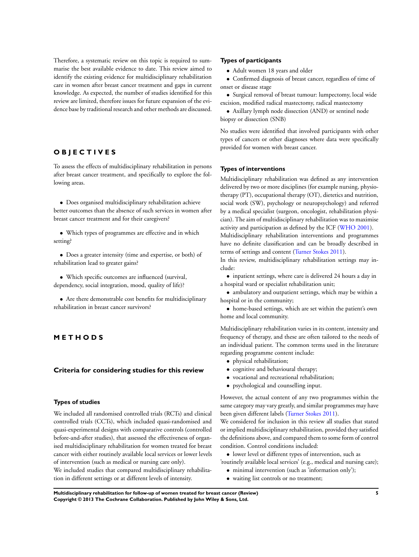Therefore, a systematic review on this topic is required to summarise the best available evidence to date. This review aimed to identify the existing evidence for multidisciplinary rehabilitation care in women after breast cancer treatment and gaps in current knowledge. As expected, the number of studies identified for this review are limited, therefore issues for future expansion of the evidence base by traditional research and other methods are discussed.

# **O B J E C T I V E S**

To assess the effects of multidisciplinary rehabilitation in persons after breast cancer treatment, and specifically to explore the following areas.

• Does organised multidisciplinary rehabilitation achieve better outcomes than the absence of such services in women after breast cancer treatment and for their caregivers?

• Which types of programmes are effective and in which setting?

• Does a greater intensity (time and expertise, or both) of rehabilitation lead to greater gains?

• Which specific outcomes are influenced (survival, dependency, social integration, mood, quality of life)?

• Are there demonstrable cost benefits for multidisciplinary rehabilitation in breast cancer survivors?

# **M E T H O D S**

## **Criteria for considering studies for this review**

#### **Types of studies**

We included all randomised controlled trials (RCTs) and clinical controlled trials (CCTs), which included quasi-randomised and quasi-experimental designs with comparative controls (controlled before-and-after studies), that assessed the effectiveness of organised multidisciplinary rehabilitation for women treated for breast cancer with either routinely available local services or lower levels of intervention (such as medical or nursing care only).

We included studies that compared multidisciplinary rehabilitation in different settings or at different levels of intensity.

#### **Types of participants**

• Adult women 18 years and older

• Confirmed diagnosis of breast cancer, regardless of time of onset or disease stage

• Surgical removal of breast tumour: lumpectomy, local wide excision, modified radical mastectomy, radical mastectomy

• Axillary lymph node dissection (AND) or sentinel node biopsy or dissection (SNB)

No studies were identified that involved participants with other types of cancers or other diagnoses where data were specifically provided for women with breast cancer.

### **Types of interventions**

Multidisciplinary rehabilitation was defined as any intervention delivered by two or more disciplines (for example nursing, physiotherapy (PT), occupational therapy (OT), dietetics and nutrition, social work (SW), psychology or neuropsychology) and referred by a medical specialist (surgeon, oncologist, rehabilitation physician). The aim of multidisciplinary rehabilitation was to maximise activity and participation as defined by the ICF ([WHO 2001\)](#page-15-0).

Multidisciplinary rehabilitation interventions and programmes have no definite classification and can be broadly described in terms of settings and content [\(Turner Stokes 2011](#page-15-0)).

In this review, multidisciplinary rehabilitation settings may include:

• inpatient settings, where care is delivered 24 hours a day in a hospital ward or specialist rehabilitation unit;

• ambulatory and outpatient settings, which may be within a hospital or in the community;

• home-based settings, which are set within the patient's own home and local community.

Multidisciplinary rehabilitation varies in its content, intensity and frequency of therapy, and these are often tailored to the needs of an individual patient. The common terms used in the literature regarding programme content include:

- physical rehabilitation;
- cognitive and behavioural therapy;
- vocational and recreational rehabilitation;
- psychological and counselling input.

However, the actual content of any two programmes within the same category may vary greatly, and similar programmes may have been given different labels ([Turner Stokes 2011\)](#page-15-0).

We considered for inclusion in this review all studies that stated or implied multidisciplinary rehabilitation, provided they satisfied the definitions above, and compared them to some form of control condition. Control conditions included:

• lower level or different types of intervention, such as

- 'routinely available local services' (e.g., medical and nursing care);
	- minimal intervention (such as 'information only');
	- waiting list controls or no treatment;

**Multidisciplinary rehabilitation for follow-up of women treated for breast cancer (Review) 5 Copyright © 2013 The Cochrane Collaboration. Published by John Wiley & Sons, Ltd.**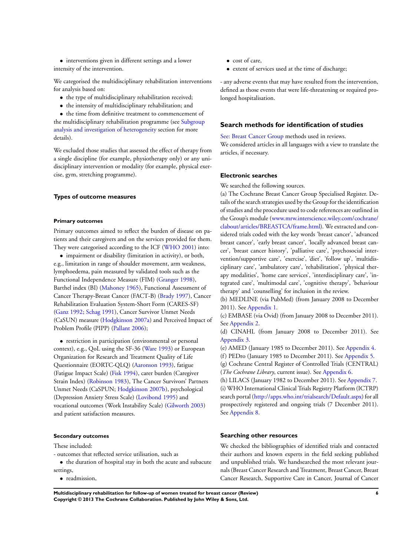• interventions given in different settings and a lower intensity of the intervention.

We categorised the multidisciplinary rehabilitation interventions for analysis based on:

- the type of multidisciplinary rehabilitation received;
- the intensity of multidisciplinary rehabilitation; and
- the time from definitive treatment to commencement of

the multidisciplinary rehabilitation programme (see [Subgroup](#page-3-0) [analysis and investigation of heterogeneity](#page-3-0) section for more details).

We excluded those studies that assessed the effect of therapy from a single discipline (for example, physiotherapy only) or any unidisciplinary intervention or modality (for example, physical exercise, gym, stretching programme).

### **Types of outcome measures**

#### **Primary outcomes**

Primary outcomes aimed to reflect the burden of disease on patients and their caregivers and on the services provided for them. They were categorised according to the ICF [\(WHO 2001](#page-15-0)) into:

• impairment or disability (limitation in activity), or both, e.g., limitation in range of shoulder movement, arm weakness, lymphoedema, pain measured by validated tools such as the Functional Independence Measure (FIM) [\(Granger 1998](#page-15-0)), Barthel index (BI) [\(Mahoney 1965\)](#page-15-0), Functional Assessment of Cancer Therapy-Breast Cancer (FACT-B) [\(Brady 1997\)](#page-15-0), Cancer Rehabilitation Evaluation System-Short Form (CARES-SF) [\(Ganz 1992;](#page-15-0) [Schag 1991\)](#page-15-0), Cancer Survivor Unmet Needs (CaSUN) measure [\(Hodgkinson 2007a\)](#page-15-0) and Perceived Impact of Problem Profile (PIPP) [\(Pallant 2006](#page-15-0));

• restriction in participation (environmental or personal context), e.g., QoL using the SF-36 ([Ware 1993](#page-15-0)) or European Organization for Research and Treatment Quality of Life Questionnaire (EORTC-QLQ) ([Aaronson 1993](#page-15-0)), fatigue (Fatigue Impact Scale) ([Fisk 1994](#page-15-0)), carer burden (Caregiver Strain Index) ([Robinson 1983\)](#page-15-0), The Cancer Survivors' Partners Unmet Needs (CaSPUN; [Hodgkinson 2007b](#page-15-0)), psychological (Depression Anxiety Stress Scale) [\(Lovibond 1995\)](#page-15-0) and vocational outcomes (Work Instability Scale) ([Gilworth 2003](#page-15-0)) and patient satisfaction measures.

#### **Secondary outcomes**

# These included:

- outcomes that reflected service utilisation, such as

• the duration of hospital stay in both the acute and subacute settings.

• readmission,

- cost of care,
- extent of services used at the time of discharge;

- any adverse events that may have resulted from the intervention, defined as those events that were life-threatening or required prolonged hospitalisation.

#### **Search methods for identification of studies**

[See: Breast Cancer Group](http://www.mrw.interscience.wiley.com/cochrane/clabout/articles/BREASTCA/frame.html) methods used in reviews.

We considered articles in all languages with a view to translate the articles, if necessary.

#### **Electronic searches**

We searched the following sources.

(a) The Cochrane Breast Cancer Group Specialised Register. Details of the search strategies used by the Group for the identification of studies and the procedure used to code references are outlined in the Group's module ([www.mrw.interscience.wiley.com/cochrane/](http://www.mrw.interscience.wiley.com/cochrane/clabout/articles/BREASTCA/frame.html) [clabout/articles/BREASTCA/frame.html](http://www.mrw.interscience.wiley.com/cochrane/clabout/articles/BREASTCA/frame.html)). We extracted and considered trials coded with the key words 'breast cancer', 'advanced breast cancer', 'early breast cancer', 'locally advanced breast cancer', 'breast cancer history', 'palliative care', 'psychosocial intervention/supportive care', 'exercise', 'diet', 'follow up', 'multidisciplinary care', 'ambulatory care', 'rehabilitation', 'physical therapy modalities', 'home care services', 'interdisciplinary care', 'integrated care', 'multimodal care', 'cognitive therapy', 'behaviour therapy' and 'counselling' for inclusion in the review.

(b) MEDLINE (via PubMed) (from January 2008 to December 2011). See [Appendix 1.](#page-25-0)

(c) EMBASE (via Ovid) (from January 2008 to December 2011). See [Appendix 2](#page-27-0).

(d) CINAHL (from January 2008 to December 2011). See [Appendix 3.](#page-27-0)

(e) AMED (January 1985 to December 2011). See [Appendix 4](#page-28-0).

(f) PEDro (January 1985 to December 2011). See [Appendix 5.](#page-29-0)

(g) Cochrane Central Register of Controlled Trials (CENTRAL) (*The Cochrane Library*, current issue). See [Appendix 6](#page-29-0).

(h) LILACS (January 1982 to December 2011). See [Appendix 7](#page-29-0). (i) WHO International Clinical Trials Registry Platform (ICTRP) search portal (<http://apps.who.int/trialsearch/Default.aspx>) for all prospectively registered and ongoing trials (7 December 2011). See [Appendix 8](#page-30-0).

#### **Searching other resources**

We checked the bibliographies of identified trials and contacted their authors and known experts in the field seeking published and unpublished trials. We handsearched the most relevant journals (Breast Cancer Research and Treatment, Breast Cancer, Breast Cancer Research, Supportive Care in Cancer, Journal of Cancer

**Multidisciplinary rehabilitation for follow-up of women treated for breast cancer (Review) 6 Copyright © 2013 The Cochrane Collaboration. Published by John Wiley & Sons, Ltd.**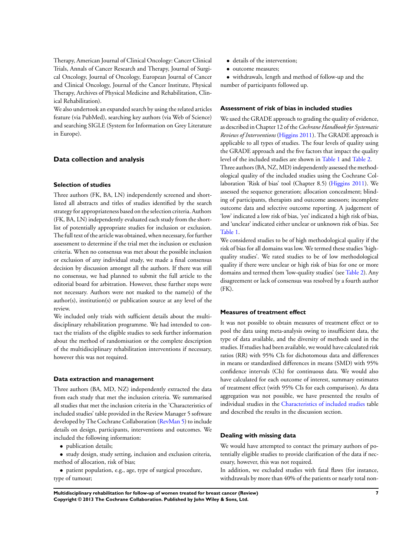Therapy, American Journal of Clinical Oncology: Cancer Clinical Trials, Annals of Cancer Research and Therapy, Journal of Surgical Oncology, Journal of Oncology, European Journal of Cancer and Clinical Oncology, Journal of the Cancer Institute, Physical Therapy, Archives of Physical Medicine and Rehabilitation, Clinical Rehabilitation).

We also undertook an expanded search by using the related articles feature (via PubMed), searching key authors (via Web of Science) and searching SIGLE (System for Information on Grey Literature in Europe).

# **Data collection and analysis**

# **Selection of studies**

Three authors (FK, BA, LN) independently screened and shortlisted all abstracts and titles of studies identified by the search strategy for appropriateness based on the selection criteria. Authors (FK, BA, LN) independently evaluated each study from the shortlist of potentially appropriate studies for inclusion or exclusion. The full text of the article was obtained, when necessary, for further assessment to determine if the trial met the inclusion or exclusion criteria. When no consensus was met about the possible inclusion or exclusion of any individual study, we made a final consensus decision by discussion amongst all the authors. If there was still no consensus, we had planned to submit the full article to the editorial board for arbitration. However, these further steps were not necessary. Authors were not masked to the name(s) of the author(s), institution(s) or publication source at any level of the review.

We included only trials with sufficient details about the multidisciplinary rehabilitation programme. We had intended to contact the trialists of the eligible studies to seek further information about the method of randomisation or the complete description of the multidisciplinary rehabilitation interventions if necessary, however this was not required.

#### **Data extraction and management**

Three authors (BA, MD, NZ) independently extracted the data from each study that met the inclusion criteria. We summarised all studies that met the inclusion criteria in the 'Characteristics of included studies' table provided in the Review Manager 5 software developed by The Cochrane Collaboration ([RevMan 5](#page-15-0)) to include details on design, participants, interventions and outcomes. We included the following information:

- publication details;
- study design, study setting, inclusion and exclusion criteria, method of allocation, risk of bias;
- patient population, e.g., age, type of surgical procedure, type of tumour;
- details of the intervention;
- outcome measures;

• withdrawals, length and method of follow-up and the number of participants followed up.

### **Assessment of risk of bias in included studies**

We used the GRADE approach to grading the quality of evidence, as described in Chapter 12 of the *Cochrane Handbook for Systematic Reviews of Interventions* ([Higgins 2011](#page-15-0)). The GRADE approach is applicable to all types of studies. The four levels of quality using the GRADE approach and the five factors that impact the quality level of the included studies are shown in [Table 1](#page-25-0) and [Table 2.](#page-25-0)

Three authors (BA, NZ, MD) independently assessed the methodological quality of the included studies using the Cochrane Collaboration 'Risk of bias' tool (Chapter 8.5) [\(Higgins 2011\)](#page-15-0). We assessed the sequence generation; allocation concealment; blinding of participants, therapists and outcome assessors; incomplete outcome data and selective outcome reporting. A judgement of 'low' indicated a low risk of bias, 'yes' indicated a high risk of bias, and 'unclear' indicated either unclear or unknown risk of bias. See [Table 1.](#page-25-0)

We considered studies to be of high methodological quality if the risk of bias for all domains was low. We termed these studies 'highquality studies'. We rated studies to be of low methodological quality if there were unclear or high risk of bias for one or more domains and termed them 'low-quality studies' (see [Table 2\)](#page-25-0). Any disagreement or lack of consensus was resolved by a fourth author  $(FK)$ .

#### **Measures of treatment effect**

It was not possible to obtain measures of treatment effect or to pool the data using meta-analysis owing to insufficient data, the type of data available, and the diversity of methods used in the studies. If studies had been available, we would have calculated risk ratios (RR) with 95% CIs for dichotomous data and differences in means or standardised differences in means (SMD) with 95% confidence intervals (CIs) for continuous data. We would also have calculated for each outcome of interest, summary estimates of treatment effect (with 95% CIs for each comparison). As data aggregation was not possible, we have presented the results of individual studies in the [Characteristics of included studies](#page-20-0) table and described the results in the discussion section.

#### **Dealing with missing data**

We would have attempted to contact the primary authors of potentially eligible studies to provide clarification of the data if necessary, however, this was not required.

In addition, we excluded studies with fatal flaws (for instance, withdrawals by more than 40% of the patients or nearly total non-

**Multidisciplinary rehabilitation for follow-up of women treated for breast cancer (Review) 7 Copyright © 2013 The Cochrane Collaboration. Published by John Wiley & Sons, Ltd.**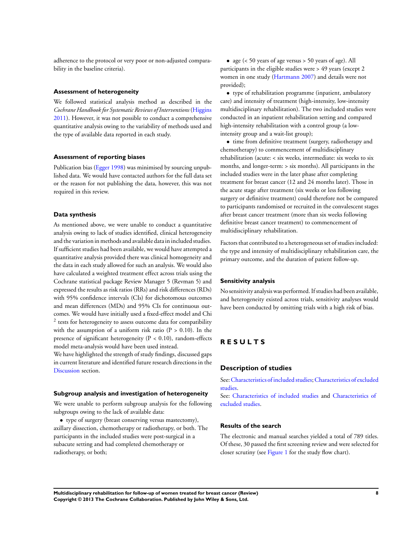adherence to the protocol or very poor or non-adjusted comparability in the baseline criteria).

# **Assessment of heterogeneity**

We followed statistical analysis method as described in the *Cochrane Handbook for Systematic Reviews of Interventions* ([Higgins](#page-15-0) [2011](#page-15-0)). However, it was not possible to conduct a comprehensive quantitative analysis owing to the variability of methods used and the type of available data reported in each study.

#### **Assessment of reporting biases**

Publication bias ([Egger 1998\)](#page-15-0) was minimised by sourcing unpublished data. We would have contacted authors for the full data set or the reason for not publishing the data, however, this was not required in this review.

# **Data synthesis**

As mentioned above, we were unable to conduct a quantitative analysis owing to lack of studies identified, clinical heterogeneity and the variation in methods and available data in included studies. If sufficient studies had been available, we would have attempted a quantitative analysis provided there was clinical homogeneity and the data in each study allowed for such an analysis. We would also have calculated a weighted treatment effect across trials using the Cochrane statistical package Review Manager 5 (Revman 5) and expressed the results as risk ratios (RRs) and risk differences (RDs) with 95% confidence intervals (CIs) for dichotomous outcomes and mean differences (MDs) and 95% CIs for continuous outcomes. We would have initially used a fixed-effect model and Chi  $2$  tests for heterogeneity to assess outcome data for compatibility with the assumption of a uniform risk ratio  $(P > 0.10)$ . In the presence of significant heterogeneity ( $P < 0.10$ ), random-effects model meta-analysis would have been used instead.

We have highlighted the strength of study findings, discussed gaps in current literature and identified future research directions in the [Discussion](http://onlinelibrary.wiley.com/doi/10.1002/14651858.CD008505.pub2/full#CD008505-sec1-0005#CD008505-sec1-0005) section.

#### **Subgroup analysis and investigation of heterogeneity**

We were unable to perform subgroup analysis for the following subgroups owing to the lack of available data:

• type of surgery (breast conserving versus mastectomy), axillary dissection, chemotherapy or radiotherapy, or both. The participants in the included studies were post-surgical in a subacute setting and had completed chemotherapy or radiotherapy, or both;

• age (< 50 years of age versus > 50 years of age). All participants in the eligible studies were > 49 years (except 2 women in one study [\(Hartmann 2007](#page-15-0)) and details were not provided);

• type of rehabilitation programme (inpatient, ambulatory care) and intensity of treatment (high-intensity, low-intensity multidisciplinary rehabilitation). The two included studies were conducted in an inpatient rehabilitation setting and compared high-intensity rehabilitation with a control group (a lowintensity group and a wait-list group);

• time from definitive treatment (surgery, radiotherapy and chemotherapy) to commencement of multidisciplinary rehabilitation (acute: < six weeks, intermediate: six weeks to six months, and longer-term: > six months). All participants in the included studies were in the later phase after completing treatment for breast cancer (12 and 24 months later). Those in the acute stage after treatment (six weeks or less following surgery or definitive treatment) could therefore not be compared to participants randomised or recruited in the convalescent stages after breast cancer treatment (more than six weeks following definitive breast cancer treatment) to commencement of multidisciplinary rehabilitation.

Factors that contributed to a heterogeneous set of studies included: the type and intensity of multidisciplinary rehabilitation care, the primary outcome, and the duration of patient follow-up.

### **Sensitivity analysis**

No sensitivity analysis was performed. If studies had been available, and heterogeneity existed across trials, sensitivity analyses would have been conducted by omitting trials with a high risk of bias.

# **R E S U L T S**

# **Description of studies**

See:[Characteristics of included studies;](#page-20-0)[Characteristics of excluded](#page-23-0) [studies.](#page-23-0)

See: [Characteristics of included studies](#page-20-0) and [Characteristics of](#page-23-0) [excluded studies.](#page-23-0)

# **Results of the search**

The electronic and manual searches yielded a total of 789 titles. Of these, 30 passed the first screening review and were selected for closer scrutiny (see [Figure 1](#page-10-0) for the study flow chart).

**Multidisciplinary rehabilitation for follow-up of women treated for breast cancer (Review) 8 Copyright © 2013 The Cochrane Collaboration. Published by John Wiley & Sons, Ltd.**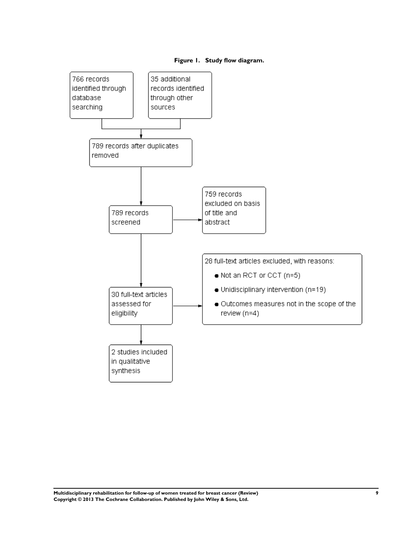<span id="page-10-0"></span>

**Figure 1. Study flow diagram.**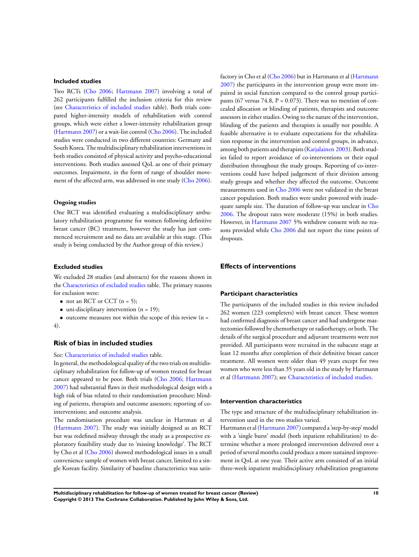#### **Included studies**

Two RCTs ([Cho 2006;](#page-15-0) [Hartmann 2007\)](#page-15-0) involving a total of 262 participants fulfilled the inclusion criteria for this review (see [Characteristics of included studies](#page-20-0) table). Both trials compared higher-intensity models of rehabilitation with control groups, which were either a lower-intensity rehabilitation group [\(Hartmann 2007\)](#page-15-0) or a wait-list control [\(Cho 2006](#page-15-0)). The included studies were conducted in two different countries: Germany and South Korea. The multidisciplinary rehabilitation interventions in both studies consisted of physical activity and psycho-educational interventions. Both studies assessed QoL as one of their primary outcomes. Impairment, in the form of range of shoulder movement of the affected arm, was addressed in one study ([Cho 2006](#page-15-0)).

#### **Ongoing studies**

One RCT was identified evaluating a multidisciplinary ambulatory rehabilitation programme for women following definitive breast cancer (BC) treatment, however the study has just commenced recruitment and no data are available at this stage. (This study is being conducted by the Author group of this review.)

#### **Excluded studies**

We excluded 28 studies (and abstracts) for the reasons shown in the [Characteristics of excluded studies](#page-23-0) table. The primary reasons for exclusion were:

- not an RCT or CCT  $(n = 5)$ ;
- $\bullet$  uni-disciplinary intervention (n = 19);
- outcome measures not within the scope of this review  $(n =$ 4).

## **Risk of bias in included studies**

See: [Characteristics of included studies](#page-20-0) table.

In general, the methodological quality of the two trials on multidisciplinary rehabilitation for follow-up of women treated for breast cancer appeared to be poor. Both trials [\(Cho 2006;](#page-15-0) [Hartmann](#page-15-0) [2007](#page-15-0)) had substantial flaws in their methodological design with a high risk of bias related to their randomisation procedure; blinding of patients, therapists and outcome assessors; reporting of cointerventions; and outcome analysis.

The randomisation procedure was unclear in Hartman et al [\(Hartmann 2007\)](#page-15-0). The study was initially designed as an RCT but was redefined midway through the study as a prospective exploratory feasibility study due to 'missing knowledge'. The RCT by Cho et al [\(Cho 2006](#page-15-0)) showed methodological issues in a small convenience sample of women with breast cancer, limited to a single Korean facility. Similarity of baseline characteristics was satis-

factory in Cho et al ([Cho 2006\)](#page-15-0) but in Hartmann et al [\(Hartmann](#page-15-0) [2007](#page-15-0)) the participants in the intervention group were more impaired in social function compared to the control group participants (67 versus 74.8,  $P = 0.073$ ). There was no mention of concealed allocation or blinding of patients, therapists and outcome assessors in either studies. Owing to the nature of the intervention, blinding of the patients and therapists is usually not possible. A feasible alternative is to evaluate expectations for the rehabilitation response in the intervention and control groups, in advance, among both patients and therapists [\(Karjalainen 2003](#page-15-0)). Both studies failed to report avoidance of co-interventions or their equal distribution throughout the study groups. Reporting of co-interventions could have helped judgement of their division among study groups and whether they affected the outcome. Outcome measurements used in [Cho 2006](#page-15-0) were not validated in the breast cancer population. Both studies were under powered with inadequate sample size. The duration of follow-up was unclear in [Cho](#page-15-0) [2006](#page-15-0). The dropout rates were moderate (15%) in both studies. However, in [Hartmann 2007](#page-15-0) 5% withdrew consent with no reasons provided while [Cho 2006](#page-15-0) did not report the time points of dropouts.

### **Effects of interventions**

#### **Participant characteristics**

The participants of the included studies in this review included 262 women (223 completers) with breast cancer. These women had confirmed diagnosis of breast cancer and had undergone mastectomies followed by chemotherapy or radiotherapy, or both.The details of the surgical procedure and adjuvant treatments were not provided. All participants were recruited in the subacute stage at least 12 months after completion of their definitive breast cancer treatment. All women were older than 49 years except for two women who were less than 35 years old in the study by Hartmann et al ([Hartmann 2007\)](#page-15-0); see [Characteristics of included studies](#page-20-0).

#### **Intervention characteristics**

The type and structure of the multidisciplinary rehabilitation intervention used in the two studies varied.

Hartmann et al ([Hartmann 2007](#page-15-0)) compared a 'step-by-step' model with a 'single burst' model (both inpatient rehabilitation) to determine whether a more prolonged intervention delivered over a period of several months could produce a more sustained improvement in QoL at one year. Their active arm consisted of an initial three-week inpatient multidisciplinary rehabilitation programme

**Multidisciplinary rehabilitation for follow-up of women treated for breast cancer (Review) 10 Copyright © 2013 The Cochrane Collaboration. Published by John Wiley & Sons, Ltd.**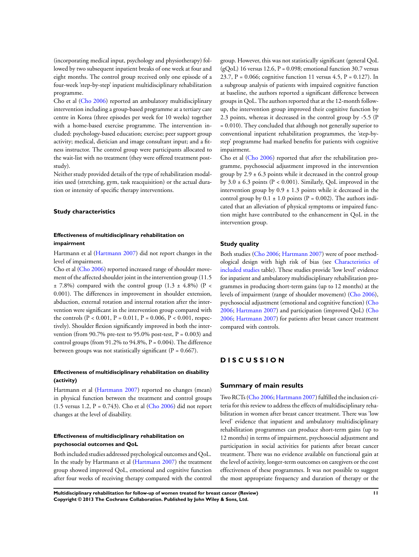(incorporating medical input, psychology and physiotherapy) followed by two subsequent inpatient breaks of one week at four and eight months. The control group received only one episode of a four-week 'step-by-step' inpatient multidisciplinary rehabilitation programme.

Cho et al ([Cho 2006\)](#page-15-0) reported an ambulatory multidisciplinary intervention including a group-based programme at a tertiary care centre in Korea (three episodes per week for 10 weeks) together with a home-based exercise programme. The intervention included: psychology-based education; exercise; peer support group activity; medical, dietician and image consultant input; and a fitness instructor. The control group were participants allocated to the wait-list with no treatment (they were offered treatment poststudy).

Neither study provided details of the type of rehabilitation modalities used (stretching, gym, task reacquisition) or the actual duration or intensity of specific therapy interventions.

#### **Study characteristics**

### **Effectiveness of multidisciplinary rehabilitation on impairment**

Hartmann et al ([Hartmann 2007](#page-15-0)) did not report changes in the level of impairment.

Cho et al ([Cho 2006\)](#page-15-0) reported increased range of shoulder movement of the affected shoulder joint in the intervention group (11.5  $\pm$  7.8%) compared with the control group (1.3  $\pm$  4.8%) (P < 0.001). The differences in improvement in shoulder extension, abduction, external rotation and internal rotation after the intervention were significant in the intervention group compared with the controls ( $P < 0.001$ ,  $P = 0.011$ ,  $P = 0.006$ ,  $P < 0.001$ , respectively). Shoulder flexion significantly improved in both the intervention (from 90.7% pre-test to 95.0% post-test,  $P = 0.003$ ) and control groups (from  $91.2\%$  to  $94.8\%$ ,  $P = 0.004$ ). The difference between groups was not statistically significant  $(P = 0.667)$ .

# **Effectiveness of multidisciplinary rehabilitation on disability (activity)**

Hartmann et al ([Hartmann 2007](#page-15-0)) reported no changes (mean) in physical function between the treatment and control groups (1.5 versus 1.2, P = 0.743). Cho et al [\(Cho 2006\)](#page-15-0) did not report changes at the level of disability.

# **Effectiveness of multidisciplinary rehabilitation on psychosocial outcomes and QoL**

Both included studies addressed psychological outcomes and QoL. In the study by Hartmann et al [\(Hartmann 2007\)](#page-15-0) the treatment group showed improved QoL, emotional and cognitive function after four weeks of receiving therapy compared with the control group. However, this was not statistically significant (general QoL (gOoL) 16 versus 12.6,  $P = 0.098$ ; emotional function 30.7 versus 23.7, P = 0.066; cognitive function 11 versus 4.5, P = 0.127). In a subgroup analysis of patients with impaired cognitive function at baseline, the authors reported a significant difference between groups in QoL. The authors reported that at the 12-month followup, the intervention group improved their cognitive function by 2.3 points, whereas it decreased in the control group by -5.5 (P = 0.010). They concluded that although not generally superior to conventional inpatient rehabilitation programmes, the 'step-bystep' programme had marked benefits for patients with cognitive impairment.

Cho et al ([Cho 2006\)](#page-15-0) reported that after the rehabilitation programme, psychosocial adjustment improved in the intervention group by  $2.9 \pm 6.3$  points while it decreased in the control group by  $3.0 \pm 6.3$  points (P < 0.001). Similarly, QoL improved in the intervention group by  $0.9 \pm 1.3$  points while it decreased in the control group by  $0.1 \pm 1.0$  points (P = 0.002). The authors indicated that an alleviation of physical symptoms or impaired function might have contributed to the enhancement in QoL in the intervention group.

#### **Study quality**

Both studies [\(Cho 2006](#page-15-0); [Hartmann 2007\)](#page-15-0) were of poor methodological design with high risk of bias (see [Characteristics of](#page-20-0) [included studies](#page-20-0) table). These studies provide 'low level' evidence for inpatient and ambulatory multidisciplinary rehabilitation programmes in producing short-term gains (up to 12 months) at the levels of impairment (range of shoulder movement) [\(Cho 2006](#page-15-0)), psychosocial adjustment (emotional and cognitive function) ([Cho](#page-15-0) [2006](#page-15-0); [Hartmann 2007\)](#page-15-0) and participation (improved QoL) ([Cho](#page-15-0) [2006](#page-15-0); [Hartmann 2007\)](#page-15-0) for patients after breast cancer treatment compared with controls.

# **D I S C U S S I O N**

#### **Summary of main results**

Two RCTs [\(Cho 2006](#page-15-0); [Hartmann 2007](#page-15-0)) fulfilled the inclusion criteria for this review to address the effects of multidisciplinary rehabilitation in women after breast cancer treatment. There was 'low level' evidence that inpatient and ambulatory multidisciplinary rehabilitation programmes can produce short-term gains (up to 12 months) in terms of impairment, psychosocial adjustment and participation in social activities for patients after breast cancer treatment. There was no evidence available on functional gain at the level of activity, longer-term outcomes on caregivers or the cost effectiveness of these programmes. It was not possible to suggest the most appropriate frequency and duration of therapy or the

**Multidisciplinary rehabilitation for follow-up of women treated for breast cancer (Review) 11 Copyright © 2013 The Cochrane Collaboration. Published by John Wiley & Sons, Ltd.**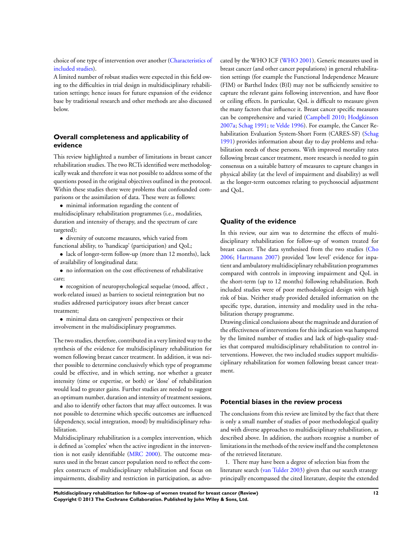choice of one type of intervention over another [\(Characteristics of](#page-20-0) [included studies](#page-20-0)).

A limited number of robust studies were expected in this field owing to the difficulties in trial design in multidisciplinary rehabilitation settings; hence issues for future expansion of the evidence base by traditional research and other methods are also discussed below.

# **Overall completeness and applicability of evidence**

This review highlighted a number of limitations in breast cancer rehabilitation studies. The two RCTs identified were methodologically weak and therefore it was not possible to address some of the questions posed in the original objectives outlined in the protocol. Within these studies there were problems that confounded comparisons or the assimilation of data. These were as follows:

• minimal information regarding the content of multidisciplinary rehabilitation programmes (i.e., modalities, duration and intensity of therapy, and the spectrum of care targeted);

• diversity of outcome measures, which varied from functional ability, to 'handicap' (participation) and QoL;

• lack of longer-term follow-up (more than 12 months), lack of availability of longitudinal data;

• no information on the cost effectiveness of rehabilitative care;

• recognition of neuropsychological sequelae (mood, affect , work-related issues) as barriers to societal reintegration but no studies addressed participatory issues after breast cancer treatment;

• minimal data on caregivers' perspectives or their involvement in the multidisciplinary programmes.

The two studies, therefore, contributed in a very limited way to the synthesis of the evidence for multidisciplinary rehabilitation for women following breast cancer treatment. In addition, it was neither possible to determine conclusively which type of programme could be effective, and in which setting, nor whether a greater intensity (time or expertise, or both) or 'dose' of rehabilitation would lead to greater gains. Further studies are needed to suggest an optimum number, duration and intensity of treatment sessions, and also to identify other factors that may affect outcomes. It was not possible to determine which specific outcomes are influenced (dependency, social integration, mood) by multidisciplinary rehabilitation.

Multidisciplinary rehabilitation is a complex intervention, which is defined as 'complex' when the active ingredient in the intervention is not easily identifiable ([MRC 2000\)](#page-15-0). The outcome measures used in the breast cancer population need to reflect the complex constructs of multidisciplinary rehabilitation and focus on impairments, disability and restriction in participation, as advocated by the WHO ICF ([WHO 2001\)](#page-15-0). Generic measures used in breast cancer (and other cancer populations) in general rehabilitation settings (for example the Functional Independence Measure (FIM) or Barthel Index (B)I) may not be sufficiently sensitive to capture the relevant gains following intervention, and have floor or ceiling effects. In particular, QoL is difficult to measure given the many factors that influence it. Breast cancer specific measures can be comprehensive and varied ([Campbell 2010;](#page-15-0) [Hodgkinson](#page-15-0) [2007a;](#page-15-0) [Schag 1991;](#page-15-0) [te Velde 1996\)](#page-15-0). For example, the Cancer Rehabilitation Evaluation System-Short Form (CARES-SF) ([Schag](#page-15-0) [1991](#page-15-0)) provides information about day to day problems and rehabilitation needs of these persons. With improved mortality rates following breast cancer treatment, more research is needed to gain consensus on a suitable battery of measures to capture changes in physical ability (at the level of impairment and disability) as well as the longer-term outcomes relating to psychosocial adjustment and QoL.

# **Quality of the evidence**

In this review, our aim was to determine the effects of multidisciplinary rehabilitation for follow-up of women treated for breast cancer. The data synthesised from the two studies ([Cho](#page-15-0) [2006](#page-15-0); [Hartmann 2007\)](#page-15-0) provided 'low level' evidence for inpatient and ambulatory multidisciplinary rehabilitation programmes compared with controls in improving impairment and QoL in the short-term (up to 12 months) following rehabilitation. Both included studies were of poor methodological design with high risk of bias. Neither study provided detailed information on the specific type, duration, intensity and modality used in the rehabilitation therapy programme.

Drawing clinical conclusions about the magnitude and duration of the effectiveness of interventions for this indication was hampered by the limited number of studies and lack of high-quality studies that compared multidisciplinary rehabilitation to control interventions. However, the two included studies support multidisciplinary rehabilitation for women following breast cancer treatment.

#### **Potential biases in the review process**

The conclusions from this review are limited by the fact that there is only a small number of studies of poor methodological quality and with diverse approaches to multidisciplinary rehabilitation, as described above. In addition, the authors recognise a number of limitations in the methods of the review itself and the completeness of the retrieved literature.

1. There may have been a degree of selection bias from the literature search [\(van Tulder 2003\)](#page-15-0) given that our search strategy principally encompassed the cited literature, despite the extended

**Multidisciplinary rehabilitation for follow-up of women treated for breast cancer (Review) 12 Copyright © 2013 The Cochrane Collaboration. Published by John Wiley & Sons, Ltd.**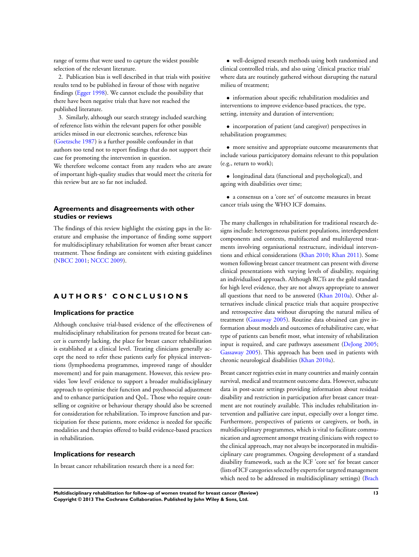range of terms that were used to capture the widest possible selection of the relevant literature.

2. Publication bias is well described in that trials with positive results tend to be published in favour of those with negative findings [\(Egger 1998](#page-15-0)). We cannot exclude the possibility that there have been negative trials that have not reached the published literature.

3. Similarly, although our search strategy included searching of reference lists within the relevant papers for other possible articles missed in our electronic searches, reference bias [\(Goetzsche 1987\)](#page-15-0) is a further possible confounder in that authors too tend not to report findings that do not support their case for promoting the intervention in question.

We therefore welcome contact from any readers who are aware of important high-quality studies that would meet the criteria for this review but are so far not included.

# **Agreements and disagreements with other studies or reviews**

The findings of this review highlight the existing gaps in the literature and emphasise the importance of finding some support for multidisciplinary rehabilitation for women after breast cancer treatment. These findings are consistent with existing guidelines [\(NBCC 2001](#page-15-0); [NCCC 2009\)](#page-15-0).

# **A U T H O R S ' C O N C L U S I O N S**

### **Implications for practice**

Although conclusive trial-based evidence of the effectiveness of multidisciplinary rehabilitation for persons treated for breast cancer is currently lacking, the place for breast cancer rehabilitation is established at a clinical level. Treating clinicians generally accept the need to refer these patients early for physical interventions (lymphoedema programmes, improved range of shoulder movement) and for pain management. However, this review provides 'low level' evidence to support a broader multidisciplinary approach to optimise their function and psychosocial adjustment and to enhance participation and QoL. Those who require counselling or cognitive or behaviour therapy should also be screened for consideration for rehabilitation. To improve function and participation for these patients, more evidence is needed for specific modalities and therapies offered to build evidence-based practices in rehabilitation.

#### **Implications for research**

In breast cancer rehabilitation research there is a need for:

• well-designed research methods using both randomised and clinical controlled trials, and also using 'clinical practice trials' where data are routinely gathered without disrupting the natural milieu of treatment;

• information about specific rehabilitation modalities and interventions to improve evidence-based practices, the type, setting, intensity and duration of intervention;

• incorporation of patient (and caregiver) perspectives in rehabilitation programmes;

• more sensitive and appropriate outcome measurements that include various participatory domains relevant to this population (e.g., return to work);

• longitudinal data (functional and psychological), and ageing with disabilities over time;

• a consensus on a 'core set' of outcome measures in breast cancer trials using the WHO ICF domains.

The many challenges in rehabilitation for traditional research designs include: heterogeneous patient populations, interdependent components and contexts, multifaceted and multilayered treatments involving organisational restructure, individual interventions and ethical considerations [\(Khan 2010](#page-15-0); [Khan 2011](#page-15-0)). Some women following breast cancer treatment can present with diverse clinical presentations with varying levels of disability, requiring an individualised approach. Although RCTs are the gold standard for high level evidence, they are not always appropriate to answer all questions that need to be answered ([Khan 2010a\)](#page-15-0). Other alternatives include clinical practice trials that acquire prospective and retrospective data without disrupting the natural milieu of treatment ([Gassaway 2005\)](#page-15-0). Routine data obtained can give information about models and outcomes of rehabilitative care, what type of patients can benefit most, what intensity of rehabilitation input is required, and care pathways assessment [\(DeJong 2005;](#page-15-0) [Gassaway 2005\)](#page-15-0). This approach has been used in patients with chronic neurological disabilities ([Khan 2010a\)](#page-15-0).

Breast cancer registries exist in many countries and mainly contain survival, medical and treatment outcome data. However, subacute data in post-acute settings providing information about residual disability and restriction in participation after breast cancer treatment are not routinely available. This includes rehabilitation intervention and palliative care input, especially over a longer time. Furthermore, perspectives of patients or caregivers, or both, in multidisciplinary programmes, which is vital to facilitate communication and agreement amongst treating clinicians with respect to the clinical approach, may not always be incorporated in multidisciplinary care programmes. Ongoing development of a standard disability framework, such as the ICF 'core set' for breast cancer (lists of ICF categories selected by experts for targeted management which need to be addressed in multidisciplinary settings) [\(Brach](#page-15-0)

**Multidisciplinary rehabilitation for follow-up of women treated for breast cancer (Review) 13 Copyright © 2013 The Cochrane Collaboration. Published by John Wiley & Sons, Ltd.**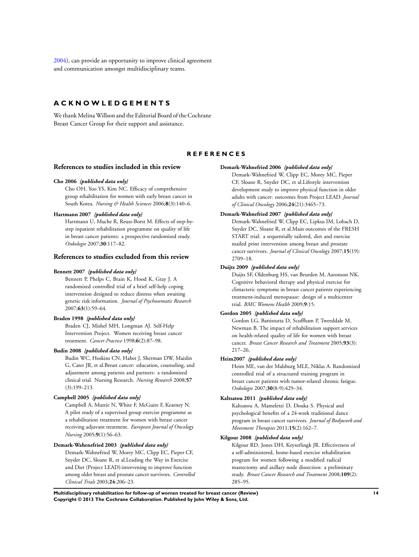<span id="page-15-0"></span>2004), can provide an opportunity to improve clinical agreement and communication amongst multidisciplinary teams.

# **A C K N O W L E D G E M E N T S**

We thank MelinaWillson and the Editorial Board of the Cochrane Breast Cancer Group for their support and assistance.

# **R E F E R E N C E S**

#### **References to studies included in this review**

#### **Cho 2006** *{published data only}*

Cho OH, Yoo YS, Kim NC. Efficacy of comprehensive group rehabilitation for women with early breast cancer in South Korea. *Nursing & Health Sciences* 2006;**8**(3):140–6.

# **Hartmann 2007** *{published data only}*

Hartmann U, Muche R, Reuss-Borst M. Effects of step-bystep inpatient rehabilitation programme on quality of life in breast cancer patients: a prospective randomised study. *Onkologie* 2007;**30**:117–82.

# **References to studies excluded from this review**

#### **Bennett 2007** *{published data only}*

Bennett P, Phelps C, Brain K, Hood K, Gray J. A randomized controlled trial of a brief self-help coping intervention designed to reduce distress when awaiting genetic risk information. *Journal of Psychosomatic Research* 2007;**63**(1):59–64.

### **Braden 1998** *{published data only}*

Braden CJ, Mishel MH, Longman AJ. Self-Help Intervention Project. Women receiving breast cancer treatment. *Cancer Practice* 1998;**6**(2):87–98.

### **Budin 2008** *{published data only}*

Budin WC, Hoskins CN, Haber J, Sherman DW, Maislin G, Cater JR, et al.Breast cancer: education, counseling, and adjustment among patients and partners: a randomized clinical trial. Nursing Research. *Nursing Research* 2008;**57** (3):199–213.

#### **Campbell 2005** *{published data only}*

Campbell A, Mutrie N, White F, McGuire F, Kearney N. A pilot study of a supervised group exercise programme as a rehabilitation treatment for women with breast cancer receiving adjuvant treatment. *European Journal of Oncology Nursing* 2005;**9**(1):56–63.

#### **Demark-Wahenefried 2003** *{published data only}*

Demark-Wahnefried W, Morey MC, Clipp EC, Pieper CF, Snyder DC, Sloane R, et al.Leading the Way in Exercise and Diet (Project LEAD):intervening to improve function among older breast and prostate cancer survivors. *Controlled Clinical Trials* 2003;**24**:206–23.

#### **Demark-Wahnefried 2006** *{published data only}*

Demark-Wahnefried W, Clipp EC, Morey MC, Pieper CF, Sloane R, Snyder DC, et al.Lifestyle intervention development study to improve physical function in older adults with cancer: outcomes from Project LEAD. *Journal of Clinical Oncology* 2006;**24**(21):3465–73.

# **Demark-Wahnefried 2007** *{published data only}*

Demark-Wahnefried W, Clipp EC, Lipkus IM, Lobach D, Snyder DC, Sloane R, et al.Main outcomes of the FRESH START trial: a sequentially tailored, diet and exercise mailed print intervention among breast and prostate cancer survivors. *Journal of Clinical Oncology* 2007;**15**(19): 2709–18.

#### **Duijts 2009** *{published data only}*

Duijts SF, Oldenburg HS, van Beurden M, Aaronson NK. Cognitive behavioral therapy and physical exercise for climacteric symptoms in breast cancer patients experiencing treatment-induced menopause: design of a multicenter trial. *BMC Womens Health* 2009;**9**:15.

#### **Gordon 2005** *{published data only}*

Gordon LG, Battistutta D, Scuffham P, Tweeddale M, Newman B. The impact of rehabilitation support services on health-related quality of life for women with breast cancer. *Breast Cancer Research and Treatment* 2005;**93**(3): 217–26.

#### **Heim2007** *{published data only}*

Heim ME, van der Malsburg MLE, Niklas A. Randomized controlled trial of a structured training program in breast cancer patients with tumor-related chronic fatigue. *Onkologie* 2007;**30**(8-9):429–34.

### **Kaltsatou 2011** *{published data only}*

Kaltsatou A, Mameletzi D, Douka S. Physical and psychological benefits of a 24-week traditional dance program in breast cancer survivors. *Journal of Bodywork and Movement Therapies* 2011;**15**(2):162–7.

#### **Kilgour 2008** *{published data only}*

Kilgour RD, Jones DH, Keyserlingk JR. Effectiveness of a self-administered, home-based exercise rehabilitation program for women following a modified radical mastectomy and axillary node dissection: a preliminary study. *Breast Cancer Research and Treatment* 2008;**109**(2): 285–95.

**Multidisciplinary rehabilitation for follow-up of women treated for breast cancer (Review) 14 Copyright © 2013 The Cochrane Collaboration. Published by John Wiley & Sons, Ltd.**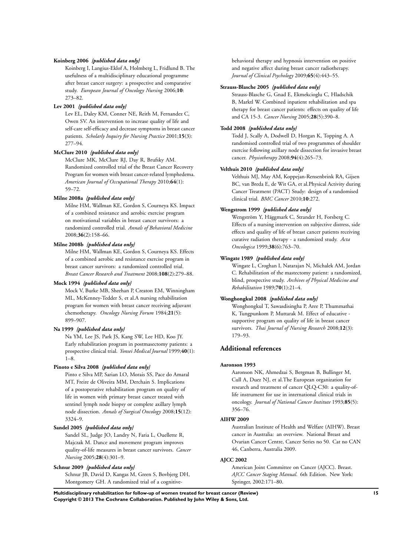#### **Koinberg 2006** *{published data only}*

Koinberg I, Langius-Eklof A, Holmberg L, Fridlund B. The usefulness of a multidisciplinary educational programme after breast cancer surgery: a prospective and comparative study. *European Journal of Oncology Nursing* 2006;**10**: 273–82.

#### **Lev 2001** *{published data only}*

Lev EL, Daley KM, Conner NE, Reith M, Fernandez C, Owen SV. An intervention to increase quality of life and self-care self-efficacy and decrease symptoms in breast cancer patients. *Scholarly Inquiry for Nursing Practice* 2001;**15**(3): 277–94.

#### **McClure 2010** *{published data only}*

McClure MK, McClure RJ, Day R, Brufsky AM. Randomized controlled trial of the Breast Cancer Recovery Program for women with breast cancer-related lymphedema. *American Journal of Occupational Therapy* 2010;**64**(1): 59–72.

#### **Milne 2008a** *{published data only}*

Milne HM, Wallman KE, Gordon S, Courneya KS. Impact of a combined resistance and aerobic exercise program on motivational variables in breast cancer survivors: a randomized controlled trial. *Annals of Behavioral Medicine* 2008;**36**(2):158–66.

#### **Milne 2008b** *{published data only}*

Milne HM, Wallman KE, Gordon S, Courneya KS. Effects of a combined aerobic and resistance exercise program in breast cancer survivors: a randomized controlled trial. *Breast Cancer Research and Treatment* 2008;**108**(2):279–88.

### **Mock 1994** *{published data only}*

Mock V, Burke MB, Sheehan P, Creaton EM, Winningham ML, McKenney-Tedder S, et al.A nursing rehabilitation program for women with breast cancer receiving adjuvant chemotherapy. *Oncology Nursing Forum* 1984;**21**(5): 899–907.

#### **Na 1999** *{published data only}*

Na YM, Lee JS, Park JS, Kang SW, Lee HD, Koo JY. Early rehabilitation program in postmasectomy patients: a prospective clinical trial. *Yonsei Medical Journal* 1999;**40**(1): 1–8.

#### **Pinoto e Silva 2008** *{published data only}*

Pinto e Silva MP, Sarian LO, Morais SS, Pace do Amaral MT, Freire de Oliveira MM, Derchain S. Implications of a postoperative rehabilitation program on quality of life in women with primary breast cancer treated with sentinel lymph node biopsy or complete axillary lymph node dissection. *Annals of Surgical Oncology* 2008;**15**(12): 3324–9.

#### **Sandel 2005** *{published data only}*

Sandel SL, Judge JO, Landry N, Faria L, Ouellette R, Majczak M. Dance and movement program improves quality-of-life measures in breast cancer survivors. *Cancer Nursing* 2005;**28**(4):301–9.

#### **Schnur 2009** *{published data only}*

Schnur JB, David D, Kangas M, Green S, Bovbjerg DH, Montgomery GH. A randomized trial of a cognitivebehavioral therapy and hypnosis intervention on positive and negative affect during breast cancer radiotherapy. *Journal of Clinical Psychology* 2009;**65**(4):443–55.

#### **Strauss-Blasche 2005** *{published data only}*

Strauss-Blasche G, Gnad E, Ekmekcioglu C, Hladschik B, Marktl W. Combined inpatient rehabilitation and spa therapy for breast cancer patients: effects on quality of life and CA 15-3. *Cancer Nursing* 2005;**28**(5):390–8.

### **Todd 2008** *{published data only}*

Todd J, Scally A, Dodwell D, Horgan K, Topping A. A randomised controlled trial of two programmes of shoulder exercise following axillary node dissection for invasive breast cancer. *Physiotherapy* 2008;**94**(4):265–73.

#### **Velthuis 2010** *{published data only}*

Velthuis MJ, May AM, Koppejan-Rensenbrink RA, Gijsen BC, van Breda E, de Wit GA, et al.Physical Activity during Cancer Treatment (PACT) Study: design of a randomised clinical trial. *BMC Cancer* 2010;**10**:272.

#### **Wengstrom 1999** *{published data only}*

Wengström Y, Häggmark C, Strander H, Forsberg C. Effects of a nursing intervention on subjective distress, side effects and quality of life of breast cancer patients receiving curative radiation therapy - a randomized study. *Acta Oncologica* 1999;**38**(6):763–70.

### **Wingate 1989** *{published data only}*

Wingate L, Croghan I, Natarajan N, Michalek AM, Jordan C. Rehabilitation of the mastectomy patient: a randomized, blind, prospective study. *Archives of Physical Medicine and Rehabilitation* 1989;**70**(1):21–4.

### **Wonghongkul 2008** *{published data only}*

Wonghongkul T, Sawasdisingha P, Aree P, Thummathai K, Tungpunkom P, Muttarak M. Effect of educative supportive program on quality of life in breast cancer survivors. *Thai Journal of Nursing Research* 2008;**12**(3): 179–93.

# **Additional references**

#### **Aaronson 1993**

Aaronson NK, Ahmedzai S, Bergman B, Bullinger M, Cull A, Duez NJ, et al.The European organization for research and treatment of cancer QLQ-C30: a quality-oflife instrument for use in international clinical trials in oncology. *Journal of National Cancer Institute* 1993;**85**(5): 356–76.

#### **AIHW 2009**

Australian Institute of Health and Welfare (AIHW). Breast cancer in Australia: an overview. National Breast and Ovarian Cancer Centre, Cancer Series no 50. Cat no CAN 46, Canberra, Australia 2009.

# **AJCC 2002**

American Joint Committee on Cancer (AJCC). Breast. *AJCC Cancer Staging Manual*. 6th Edition. New York: Springer, 2002:171–80.

**Multidisciplinary rehabilitation for follow-up of women treated for breast cancer (Review) 15 Copyright © 2013 The Cochrane Collaboration. Published by John Wiley & Sons, Ltd.**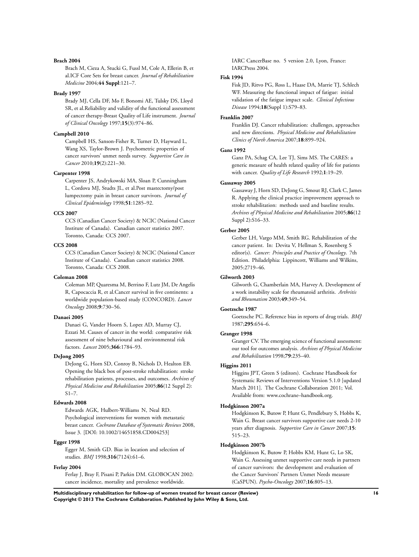#### **Brach 2004**

Brach M, Cieza A, Stucki G, Fussl M, Cole A, Ellerin B, et al.ICF Core Sets for breast cancer. *Journal of Rehabilitation Medicine* 2004;**44 Suppl**:121–7.

#### **Brady 1997**

Brady MJ, Cella DF, Mo F, Bonomi AE, Tulsky DS, Lloyd SR, et al.Reliability and validity of the functional assessment of cancer therapy-Breast Quality of Life instrument. *Journal of Clinical Oncology* 1997;**15**(3):974–86.

### **Campbell 2010**

Campbell HS, Sanson-Fisher R, Turner D, Hayward L, Wang XS, Taylor-Brown J. Psychometric properties of cancer survivors' unmet needs survey. *Supportive Care in Cancer* 2010;**19**(2):221–30.

# **Carpenter 1998**

Carpenter JS, Andrykowski MA, Sloan P, Cunningham L, Cordova MJ, Studts JL, et al.Post mastectomy/post lumpectomy pain in breast cancer survivors. *Journal of Clinical Epidemiology* 1998;**51**:1285–92.

#### **CCS 2007**

CCS (Canadian Cancer Society) & NCIC (National Cancer Institute of Canada). Canadian cancer statistics 2007. Toronto, Canada: CCS 2007.

### **CCS 2008**

CCS (Canadian Cancer Society) & NCIC (National Cancer Institute of Canada). Canadian cancer statistics 2008. Toronto, Canada: CCS 2008.

### **Coleman 2008**

Coleman MP, Quaresma M, Berrino F, Lutz JM, De Angelis R, Capocaccia R, et al.Cancer survival in five continents: a worldwide population-based study (CONCORD). *Lancet Oncology* 2008;**9**:730–56.

#### **Danaei 2005**

Danaei G, Vander Hoorn S, Lopez AD, Murray CJ, Ezzati M. Causes of cancer in the world: comparative risk assessment of nine behavioural and environmental risk factors. *Lancet* 2005;**366**:1784–93.

#### **DeJong 2005**

DeJong G, Horn SD, Conroy B, Nichols D, Healton EB. Opening the black box of post-stroke rehabilitation: stroke rehabilitation patients, processes, and outcomes. *Archives of Physical Medicine and Rehabilitation* 2005;**86**(12 Suppl 2): S1–7.

# **Edwards 2008**

Edwards AGK, Hulbert-Williams N, Neal RD. Psychological interventions for women with metastatic breast cancer. *Cochrane Database of Systematic Reviews* 2008, Issue 3. [DOI: 10.1002/14651858.CD004253]

### **Egger 1998**

Egger M, Smith GD. Bias in location and selection of studies. *BMJ* 1998;**316**(7124):61–6.

#### **Ferlay 2004**

Ferlay J, Bray F, Pisani P, Parkin DM. GLOBOCAN 2002: cancer incidence, mortality and prevalence worldwide.

IARC CancerBase no. 5 version 2.0, Lyon, France: IARCPress 2004.

#### **Fisk 1994**

Fisk JD, Ritvo PG, Ross L, Haase DA, Marrie TJ, Schlech WF. Measuring the functional impact of fatigue: initial validation of the fatigue impact scale. *Clinical Infectious Disease* 1994;**18**(Suppl 1):S79–83.

### **Franklin 2007**

Franklin DJ. Cancer rehabilitation: challenges, approaches and new directions. *Physical Medicine and Rehabilitation Clinics of North America* 2007;**18**:899–924.

#### **Ganz 1992**

Ganz PA, Schag CA, Lee TJ, Sims MS. The CARES: a generic measure of health related quality of life for patients with cancer. *Quality of Life Research* 1992;**1**:19–29.

#### **Gassaway 2005**

Gassaway J, Horn SD, DeJong G, Smout RJ, Clark C, James R. Applying the clinical practice improvement approach to stroke rehabilitation: methods used and baseline results. *Archives of Physical Medicine and Rehabilitation* 2005;**86**(12 Suppl 2):S16–33.

### **Gerber 2005**

Gerber LH, Vargo MM, Smith RG. Rehabilitation of the cancer patient. In: Devita V, Hellman S, Rosenberg S editor(s). *Cancer: Principles and Practice of Oncology*. 7th Edition. Philadelphia: Lippincott, Williams and Wilkins, 2005:2719–46.

#### **Gilworth 2003**

Gilworth G, Chamberlain MA, Harvey A. Development of a work instability scale for rheumatoid arthritis. *Arthritis and Rheumatism* 2003;**49**:349–54.

#### **Goetzsche 1987**

Goetzsche PC. Reference bias in reports of drug trials. *BMJ* 1987;**295**:654–6.

### **Granger 1998**

Granger CV. The emerging science of functional assessment: our tool for outcomes analysis. *Archives of Physical Medicine and Rehabilitation* 1998;**79**:235–40.

# **Higgins 2011**

Higgins JPT, Green S (editors). Cochrane Handbook for Systematic Reviews of Interventions Version 5.1.0 [updated March 2011]. The Cochrane Collaboration 2011; Vol. Available from: www.cochrane–handbook.org.

### **Hodgkinson 2007a**

Hodgkinson K, Butow P, Hunt G, Pendlebury S, Hobbs K, Wain G. Breast cancer survivors supportive care needs 2-10 years after diagnosis. *Supportive Care in Cancer* 2007;**15**: 515–23.

#### **Hodgkinson 2007b**

Hodgkinson K, Butow P, Hobbs KM, Hunt G, Lo SK, Wain G. Assessing unmet supportive care needs in partners of cancer survivors: the development and evaluation of the Cancer Survivors' Partners Unmet Needs measure (CaSPUN). *Psycho-Oncology* 2007;**16**:805–13.

**Multidisciplinary rehabilitation for follow-up of women treated for breast cancer (Review) 16 Copyright © 2013 The Cochrane Collaboration. Published by John Wiley & Sons, Ltd.**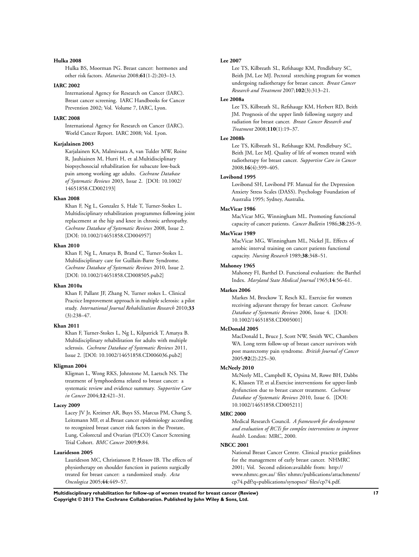#### **Hulka 2008**

Hulka BS, Moorman PG. Breast cancer: hormones and other risk factors. *Maturitas* 2008;**61**(1-2):203–13.

#### **IARC 2002**

International Agency for Research on Cancer (IARC). Breast cancer screening. IARC Handbooks for Cancer Prevention 2002; Vol. Volume 7, IARC, Lyon.

#### **IARC 2008**

International Agency for Research on Cancer (IARC). World Cancer Report. IARC 2008; Vol. Lyon.

#### **Karjalainen 2003**

Karjalainen KA, Malmivaara A, van Tulder MW, Roine R, Jauhiainen M, Hurri H, et al.Multidisciplinary biopsychosocial rehabilitation for subacute low-back pain among working age adults. *Cochrane Database of Systematic Reviews* 2003, Issue 2. [DOI: 10.1002/ 14651858.CD002193]

#### **Khan 2008**

Khan F, Ng L, Gonzalez S, Hale T, Turner-Stokes L. Multidisciplinary rehabilitation programmes following joint replacement at the hip and knee in chronic arthropathy. *Cochrane Database of Systematic Reviews* 2008, Issue 2. [DOI: 10.1002/14651858.CD004957]

#### **Khan 2010**

Khan F, Ng L, Amatya B, Brand C, Turner-Stokes L. Multidisciplinary care for Guillain-Barre Syndrome. *Cochrane Database of Systematic Reviews* 2010, Issue 2. [DOI: 10.1002/14651858.CD008505.pub2]

#### **Khan 2010a**

Khan F, Pallant JF, Zhang N, Turner stokes L. Clinical Practice Improvement approach in multiple sclerosis: a pilot study. *International Journal Rehabilitation Research* 2010;**33** (3):238–47.

#### **Khan 2011**

Khan F, Turner-Stokes L, Ng L, Kilpatrick T, Amatya B. Multidisciplinary rehabilitation for adults with multiple sclerosis. *Cochrane Database of Systematic Reviews* 2011, Issue 2. [DOI: 10.1002/14651858.CD006036.pub2]

### **Kligman 2004**

Kligman L, Wong RKS, Johnstone M, Laetsch NS. The treatment of lymphoedema related to breast cancer: a systematic review and evidence summary. *Supportive Care in Cancer* 2004;**12**:421–31.

### **Lacey 2009**

Lacey JV Jr, Kreimer AR, Buys SS, Marcus PM, Chang S, Leitzmann MF, et al.Breast cancer epidemiology according to recognized breast cancer risk factors in the Prostate, Lung, Colorectal and Ovarian (PLCO) Cancer Screening Trial Cohort. *BMC Cancer* 2009;**9**:84.

# **Laurideson 2005**

Laurideson MC, Christianson P, Hessov IB. The effects of physiotherapy on shoulder function in patients surgically treated for breast cancer: a randomized study. *Acta Oncologica* 2005;**44**:449–57.

#### **Lee 2007**

Lee TS, Kilbreath SL, Refshauge KM, Pendlebury SC, Beith JM, Lee MJ. Pectoral stretching program for women undergoing radiotherapy for breast cancer. *Breast Cancer Research and Treatment* 2007;**102**(3):313–21.

# **Lee 2008a**

Lee TS, Kilbreath SL, Refshauge KM, Herbert RD, Beith JM. Prognosis of the upper limb following surgery and radiation for breast cancer. *Breast Cancer Research and Treatment* 2008;**110**(1):19–37.

# **Lee 2008b**

Lee TS, Kilbreath SL, Refshauge KM, Pendlebury SC, Beith JM, Lee MJ. Quality of life of women treated with radiotherapy for breast cancer. *Supportive Care in Cancer* 2008;**16**(4):399–405.

# **Lovibond 1995**

Lovibond SH, Lovibond PF. Manual for the Depression Anxiety Stress Scales (DASS). Psychology Foundation of Australia 1995; Sydney, Australia.

#### **MacVicar 1986**

MacVicar MG, Winningham ML. Promoting functional capacity of cancer patients. *Cancer Bulletin* 1986;**38**:235–9.

### **MacVicar 1989**

MacVicar MG, Winningham ML, Nickel JL. Effects of aerobic interval training on cancer patients functional capacity. *Nursing Research* 1989;**38**:348–51.

#### **Mahoney 1965**

Mahoney FI, Barthel D. Functional evaluation: the Barthel Index. *Maryland State Medical Journal* 1965;**14**:56–61.

#### **Markes 2006**

Markes M, Brockow T, Resch KL. Exercise for women receiving adjuvant therapy for breast cancer. *Cochrane Database of Systematic Reviews* 2006, Issue 4. [DOI: 10.1002/14651858.CD005001]

#### **McDonald 2005**

MacDonald L, Bruce J, Scott NW, Smith WC, Chambers WA. Long term follow-up of breast cancer survivors with post mastectomy pain syndrome. *British Journal of Cancer* 2005;**92**(2):225–30.

### **McNeely 2010**

McNeely ML, Campbell K, Opsina M, Rowe BH, Dabbs K, Klassen TP, et al.Exercise interventions for upper-limb dysfunction due to breast cancer treatment. *Cochrane Database of Systematic Reviews* 2010, Issue 6. [DOI: 10.1002/14651858.CD005211]

#### **MRC 2000**

Medical Research Council. *A framework for development and evaluation of RCTs for complex interventions to improve health*. London: MRC, 2000.

# **NBCC 2001**

National Breast Cancer Centre. Clinical practice guidelines for the management of early breast cancer. NHMRC 2001; Vol. Second edition:available from: http:// www.nhmrc.gov.au/˙files˙nhmrc/publications/attachments/ cp74.pdf?q=publications/synopses/˙files/cp74.pdf.

**Multidisciplinary rehabilitation for follow-up of women treated for breast cancer (Review) 17 Copyright © 2013 The Cochrane Collaboration. Published by John Wiley & Sons, Ltd.**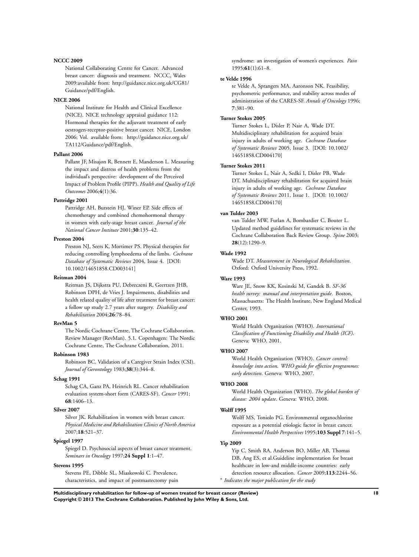#### **NCCC 2009**

National Collaborating Centre for Cancer. Advanced breast cancer: diagnosis and treatment. NCCC, Wales 2009:available from: http://guidance.nice.org.uk/CG81/ Guidance/pdf/English.

#### **NICE 2006**

National Institute for Health and Clinical Excellence (NICE). NICE technology appraisal guidance 112: Hormonal therapies for the adjuvant treatment of early oestrogen-receptor-positive breast cancer. NICE, London 2006; Vol. available from: http://guidance.nice.org.uk/ TA112/Guidance/pdf/English.

#### **Pallant 2006**

Pallant JF, Misajon R, Bennett E, Manderson L. Measuring the impact and distress of health problems from the individual's perspective: development of the Perceived Impact of Problem Profile (PIPP). *Health and Quality of Life Outcomes* 2006;**4**(1):36.

### **Pattridge 2001**

Pattridge AH, Burstein HJ, Winer EP. Side effects of chemotherapy and combined chemohormonal therapy in women with early-stage breast cancer. *Journal of the National Cancer Institute* 2001;**30**:135–42.

#### **Preston 2004**

Preston NJ, Seers K, Mortimer PS. Physical therapies for reducing controlling lymphoedema of the limbs. *Cochrane Database of Systematic Reviews* 2004, Issue 4. [DOI: 10.1002/14651858.CD003141]

# **Reitman 2004**

Reitman JS, Dijkstra PU, Debreczeni R, Geertzen JHB, Robinson DPH, de Vries J. Impairments, disabilities and health related quality of life after treatment for breast cancer: a follow up study 2.7 years after surgery. *Disability and Rehabilitation* 2004;**26**:78–84.

#### **RevMan 5**

The Nordic Cochrane Centre, The Cochrane Collaboration. Review Manager (RevMan). 5.1. Copenhagen: The Nordic Cochrane Centre, The Cochrane Collaboration, 2011.

#### **Robinson 1983**

Robinson BC. Validation of a Caregiver Strain Index (CSI). *Journal of Gerontology* 1983;**38**(3):344–8.

#### **Schag 1991**

Schag CA, Ganz PA, Heinrich RL. Cancer rehabilitation evaluation system-short form (CARES-SF). *Cancer* 1991; **68**:1406–13.

#### **Silver 2007**

Silver JK. Rehabilitation in women with breast cancer. *Physical Medicine and Rehabilitation Clinics of North America* 2007;**18**:521–37.

# **Spiegel 1997**

Spiegel D. Psychosocial aspects of breast cancer treatment. *Seminars in Oncology* 1997;**24 Suppl 1**:1–47.

### **Stevens 1995**

Stevens PE, Dibble SL, Miaskowski C. Prevalence, characteristics, and impact of postmastectomy pain syndrome: an investigation of women's experiences. *Pain* 1995;**61**(1):61–8.

### **te Velde 1996**

te Velde A, Sprangers MA, Aaronson NK. Feasibility, psychometric performance, and stability across modes of administration of the CARES-SF. *Annals of Oncology* 1996; **7**:381–90.

### **Turner Stokes 2005**

Turner Stokes L, Disler P, Nair A, Wade DT. Multidisciplinary rehabilitation for acquired brain injury in adults of working age. *Cochrane Database of Systematic Reviews* 2005, Issue 3. [DOI: 10.1002/ 14651858.CD004170]

#### **Turner Stokes 2011**

Turner Stokes L, Nair A, Sedki I, Disler PB, Wade DT. Multidisciplinary rehabilitation for acquired brain injury in adults of working age. *Cochrane Database of Systematic Reviews* 2011, Issue 1. [DOI: 10.1002/ 14651858.CD004170]

#### **van Tulder 2003**

van Tulder MW, Furlan A, Bombardier C, Bouter L. Updated method guidelines for systematic reviews in the Cochrane Collaboration Back Review Group. *Spine* 2003; **28**(12):1290–9.

#### **Wade 1992**

Wade DT. *Measurement in Neurological Rehabilitation*. Oxford: Oxford University Press, 1992.

### **Ware 1993**

Ware JE, Snow KK, Kosinski M, Gandek B. *SF-36 health survey: manual and interpretation guide*. Boston, Massachusetts: The Health Institute, New England Medical Center, 1993.

# **WHO 2001**

World Health Organization (WHO). *International Classification of Functioning Disability and Health (ICF)*. Geneva: WHO, 2001.

#### **WHO 2007**

World Health Organization (WHO). *Cancer control: knowledge into action. WHO guide for effective programmes: early detection*. Geneva: WHO, 2007.

#### **WHO 2008**

World Health Organization (WHO). *The global burden of disease: 2004 update*. Geneva: WHO, 2008.

#### **Wolff 1995**

Wolff MS, Toniolo PG. Environmental organochlorine exposure as a potential etiologic factor in breast cancer. *Environmental Health Perspectives* 1995;**103 Suppl 7**:141–5.

#### **Yip 2009**

Yip C, Smith RA, Anderson BO, Miller AB, Thomas DB, Ang ES, et al.Guideline implementation for breast healthcare in low-and middle-income countries: early detection resource allocation. *Cancer* 2009;**113**:2244–56. ∗ *Indicates the major publication for the study*

**Multidisciplinary rehabilitation for follow-up of women treated for breast cancer (Review) 18 Copyright © 2013 The Cochrane Collaboration. Published by John Wiley & Sons, Ltd.**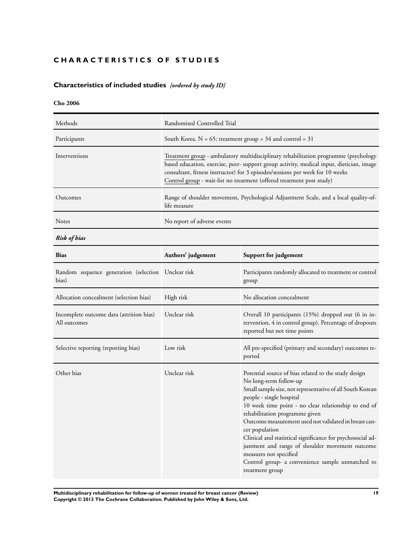# <span id="page-20-0"></span>**CHARACTERISTICS OF STUDIES**

# **Characteristics of included studies** *[ordered by study ID]*

# **Cho 2006**

| Methods       | Randomised Controlled Trial                                                                                                                                                                                                                                                                                                               |
|---------------|-------------------------------------------------------------------------------------------------------------------------------------------------------------------------------------------------------------------------------------------------------------------------------------------------------------------------------------------|
| Participants  | South Korea. $N = 65$ : treatment group = 34 and control = 31                                                                                                                                                                                                                                                                             |
| Interventions | Treatment group - ambulatory multidisciplinary rehabilitation programme (psychology<br>based education, exercise, peer- support group activity, medical input, dietician, image<br>consultant, fitness instructor) for 3 episodes/sessions per week for 10 weeks<br>Control group - wait-list no treatment (offered treatment post study) |
| Outcomes      | Range of shoulder movement, Psychological Adjustment Scale, and a local quality-of-<br>life measure                                                                                                                                                                                                                                       |
| <b>Notes</b>  | No report of adverse events                                                                                                                                                                                                                                                                                                               |

# *Risk of bias*

| <b>Bias</b>                                                 | Authors' judgement | Support for judgement                                                                                                                                                                                                                                                                                                                                                                                                                                                                                                                                          |
|-------------------------------------------------------------|--------------------|----------------------------------------------------------------------------------------------------------------------------------------------------------------------------------------------------------------------------------------------------------------------------------------------------------------------------------------------------------------------------------------------------------------------------------------------------------------------------------------------------------------------------------------------------------------|
| Random sequence generation (selection Unclear risk<br>bias) |                    | Participants randomly allocated to treatment or control<br>group                                                                                                                                                                                                                                                                                                                                                                                                                                                                                               |
| Allocation concealment (selection bias)                     | High risk          | No allocation concealment                                                                                                                                                                                                                                                                                                                                                                                                                                                                                                                                      |
| Incomplete outcome data (attrition bias)<br>All outcomes    | Unclear risk       | Overall 10 participants (15%) dropped out (6 in in-<br>tervention, 4 in control group). Percentage of dropouts<br>reported but not time points                                                                                                                                                                                                                                                                                                                                                                                                                 |
| Selective reporting (reporting bias)                        | Low risk           | All pre-specified (primary and secondary) outcomes re-<br>ported                                                                                                                                                                                                                                                                                                                                                                                                                                                                                               |
| Other bias                                                  | Unclear risk       | Potential source of bias related to the study design<br>No long-term follow-up<br>Small sample size, not representative of all South Korean<br>people - single hospital<br>10 week time point - no clear relationship to end of<br>rehabilitation programme given<br>Outcome measurement used not validated in breast can-<br>cer population<br>Clinical and statistical significance for psychosocial ad-<br>justment and range of shoulder movement outcome<br>measures not specified<br>Control group- a convenience sample unmatched to<br>treatment group |

**Multidisciplinary rehabilitation for follow-up of women treated for breast cancer (Review) 19 Copyright © 2013 The Cochrane Collaboration. Published by John Wiley & Sons, Ltd.**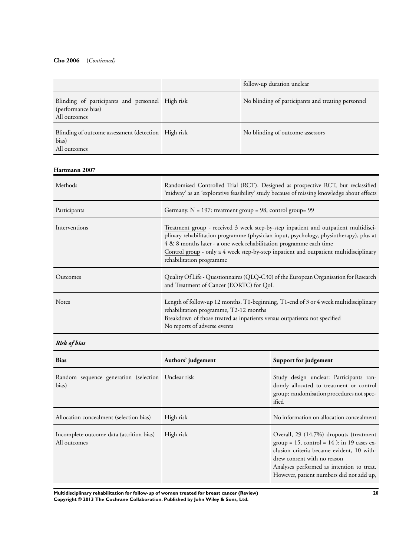# **Cho 2006** (*Continued)*

| Blinding of participants and personnel High risk<br>No blinding of participants and treating personnel<br>(performance bias)<br>All outcomes<br>Blinding of outcome assessment (detection High risk<br>No blinding of outcome assessors<br>bias)<br>All outcomes<br>Randomised Controlled Trial (RCT). Designed as prospective RCT, but reclassified<br>Methods<br>'midway' as an 'explorative feasibility' study because of missing knowledge about effects<br>Germany. N = 197: treatment group = 98, control group= 99<br>Participants<br>Interventions<br>Treatment group - received 3 week step-by-step inpatient and outpatient multidisci-<br>plinary rehabilitation programme (physician input, psychology, physiotherapy), plus at<br>4 & 8 months later - a one week rehabilitation programme each time<br>Control group - only a 4 week step-by-step inpatient and outpatient multidisciplinary<br>rehabilitation programme |  | follow-up duration unclear |
|----------------------------------------------------------------------------------------------------------------------------------------------------------------------------------------------------------------------------------------------------------------------------------------------------------------------------------------------------------------------------------------------------------------------------------------------------------------------------------------------------------------------------------------------------------------------------------------------------------------------------------------------------------------------------------------------------------------------------------------------------------------------------------------------------------------------------------------------------------------------------------------------------------------------------------------|--|----------------------------|
| Hartmann 2007                                                                                                                                                                                                                                                                                                                                                                                                                                                                                                                                                                                                                                                                                                                                                                                                                                                                                                                          |  |                            |
|                                                                                                                                                                                                                                                                                                                                                                                                                                                                                                                                                                                                                                                                                                                                                                                                                                                                                                                                        |  |                            |
|                                                                                                                                                                                                                                                                                                                                                                                                                                                                                                                                                                                                                                                                                                                                                                                                                                                                                                                                        |  |                            |
|                                                                                                                                                                                                                                                                                                                                                                                                                                                                                                                                                                                                                                                                                                                                                                                                                                                                                                                                        |  |                            |
|                                                                                                                                                                                                                                                                                                                                                                                                                                                                                                                                                                                                                                                                                                                                                                                                                                                                                                                                        |  |                            |
|                                                                                                                                                                                                                                                                                                                                                                                                                                                                                                                                                                                                                                                                                                                                                                                                                                                                                                                                        |  |                            |
| Quality Of Life - Questionnaires (QLQ-C30) of the European Organisation for Research<br>Outcomes<br>and Treatment of Cancer (EORTC) for QoL                                                                                                                                                                                                                                                                                                                                                                                                                                                                                                                                                                                                                                                                                                                                                                                            |  |                            |
| Length of follow-up 12 months. T0-beginning, T1-end of 3 or 4 week multidisciplinary<br><b>Notes</b><br>rehabilitation programme, T2-12 months<br>Breakdown of those treated as inpatients versus outpatients not specified<br>No reports of adverse events                                                                                                                                                                                                                                                                                                                                                                                                                                                                                                                                                                                                                                                                            |  |                            |

# *Risk of bias*

| <b>Bias</b>                                                 | Authors' judgement | Support for judgement                                                                                                                                                                                                                                         |
|-------------------------------------------------------------|--------------------|---------------------------------------------------------------------------------------------------------------------------------------------------------------------------------------------------------------------------------------------------------------|
| Random sequence generation (selection Unclear risk<br>bias) |                    | Study design unclear: Participants ran-<br>domly allocated to treatment or control<br>group; randomisation procedures not spec-<br>ified                                                                                                                      |
| Allocation concealment (selection bias)                     | High risk          | No information on allocation concealment                                                                                                                                                                                                                      |
| Incomplete outcome data (attrition bias)<br>All outcomes    | High risk          | Overall, 29 (14.7%) dropouts (treatment<br>group = 15, control = $14$ ): in 19 cases ex-<br>clusion criteria became evident, 10 with-<br>drew consent with no reason<br>Analyses performed as intention to treat.<br>However, patient numbers did not add up, |

**Multidisciplinary rehabilitation for follow-up of women treated for breast cancer (Review) 20 Copyright © 2013 The Cochrane Collaboration. Published by John Wiley & Sons, Ltd.**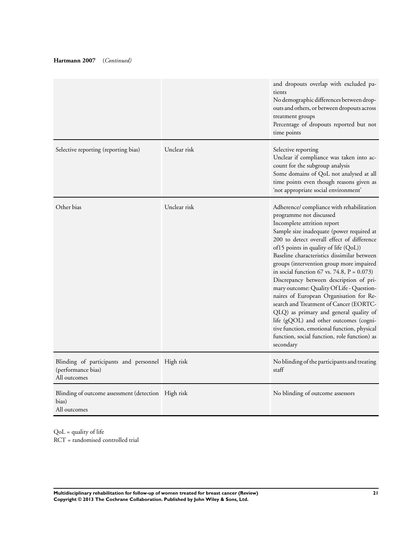# **Hartmann 2007** (*Continued)*

|                                                                                        |              | and dropouts overlap with excluded pa-<br>tients<br>No demographic differences between drop-<br>outs and others, or between dropouts across<br>treatment groups<br>Percentage of dropouts reported but not<br>time points                                                                                                                                                                                                                                                                                                                                                                                                                                                                                                                                       |
|----------------------------------------------------------------------------------------|--------------|-----------------------------------------------------------------------------------------------------------------------------------------------------------------------------------------------------------------------------------------------------------------------------------------------------------------------------------------------------------------------------------------------------------------------------------------------------------------------------------------------------------------------------------------------------------------------------------------------------------------------------------------------------------------------------------------------------------------------------------------------------------------|
| Selective reporting (reporting bias)                                                   | Unclear risk | Selective reporting<br>Unclear if compliance was taken into ac-<br>count for the subgroup analysis<br>Some domains of QoL not analysed at all<br>time points even though reasons given as<br>'not appropriate social environment'                                                                                                                                                                                                                                                                                                                                                                                                                                                                                                                               |
| Other bias                                                                             | Unclear risk | Adherence/compliance with rehabilitation<br>programme not discussed<br>Incomplete attrition report<br>Sample size inadequate (power required at<br>200 to detect overall effect of difference<br>of15 points in quality of life (QoL))<br>Baseline characteristics dissimilar between<br>groups (intervention group more impaired<br>in social function 67 vs. 74.8, $P = 0.073$ )<br>Discrepancy between description of pri-<br>mary outcome: Quality Of Life - Question-<br>naires of European Organisation for Re-<br>search and Treatment of Cancer (EORTC-<br>QLQ) as primary and general quality of<br>life (gQOL) and other outcomes (cogni-<br>tive function, emotional function, physical<br>function, social function, role function) as<br>secondary |
| Blinding of participants and personnel High risk<br>(performance bias)<br>All outcomes |              | No blinding of the participants and treating<br>staff                                                                                                                                                                                                                                                                                                                                                                                                                                                                                                                                                                                                                                                                                                           |
| Blinding of outcome assessment (detection High risk<br>bias)<br>All outcomes           |              | No blinding of outcome assessors                                                                                                                                                                                                                                                                                                                                                                                                                                                                                                                                                                                                                                                                                                                                |

QoL = quality of life RCT = randomised controlled trial

**Multidisciplinary rehabilitation for follow-up of women treated for breast cancer (Review) 21 Copyright © 2013 The Cochrane Collaboration. Published by John Wiley & Sons, Ltd.**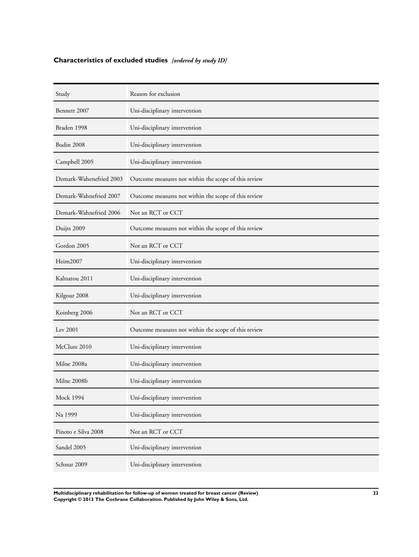# <span id="page-23-0"></span>**Characteristics of excluded studies** *[ordered by study ID]*

| Study                   | Reason for exclusion                                 |
|-------------------------|------------------------------------------------------|
| Bennett 2007            | Uni-disciplinary intervention                        |
| Braden 1998             | Uni-disciplinary intervention                        |
| Budin 2008              | Uni-disciplinary intervention                        |
| Campbell 2005           | Uni-disciplinary intervention                        |
| Demark-Wahenefried 2003 | Outcome measures not within the scope of this review |
| Demark-Wahnefried 2007  | Outcome measures not within the scope of this review |
| Demark-Wahnefried 2006  | Not an RCT or CCT                                    |
| Duijts 2009             | Outcome measures not within the scope of this review |
| Gordon 2005             | Not an RCT or CCT                                    |
| Heim2007                | Uni-disciplinary intervention                        |
| Kaltsatou 2011          | Uni-disciplinary intervention                        |
| Kilgour 2008            | Uni-disciplinary intervention                        |
| Koinberg 2006           | Not an RCT or CCT                                    |
| Lev 2001                | Outcome measures not within the scope of this review |
| McClure 2010            | Uni-disciplinary intervention                        |
| Milne 2008a             | Uni-disciplinary intervention                        |
| Milne 2008b             | Uni-disciplinary intervention                        |
| Mock 1994               | Uni-disciplinary intervention                        |
| Na 1999                 | Uni-disciplinary intervention                        |
| Pinoto e Silva 2008     | Not an RCT or CCT                                    |
| Sandel 2005             | Uni-disciplinary intervention                        |
| Schnur 2009             | Uni-disciplinary intervention                        |

**Multidisciplinary rehabilitation for follow-up of women treated for breast cancer (Review) 22 Copyright © 2013 The Cochrane Collaboration. Published by John Wiley & Sons, Ltd.**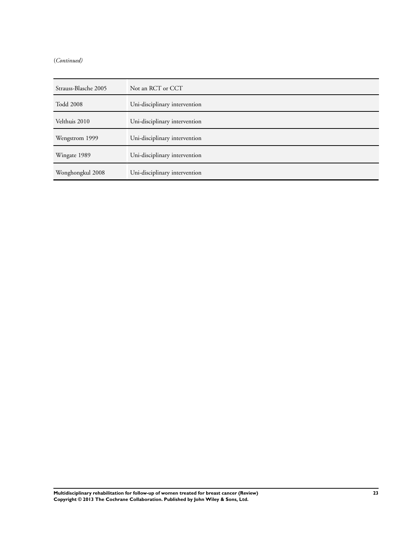(*Continued)*

| Strauss-Blasche 2005 | Not an RCT or CCT             |
|----------------------|-------------------------------|
| <b>Todd 2008</b>     | Uni-disciplinary intervention |
| Velthuis 2010        | Uni-disciplinary intervention |
| Wengstrom 1999       | Uni-disciplinary intervention |
| Wingate 1989         | Uni-disciplinary intervention |
| Wonghongkul 2008     | Uni-disciplinary intervention |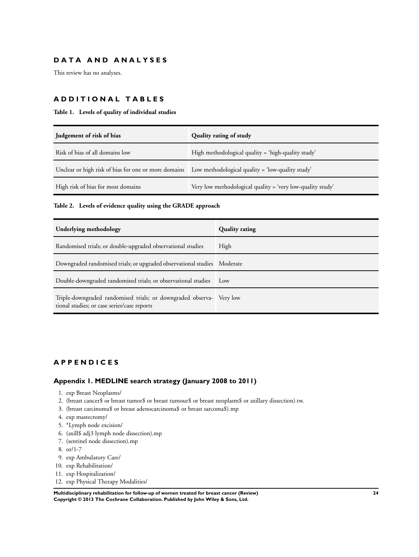# <span id="page-25-0"></span>**D A T A A N D A N A L Y S E S**

This review has no analyses.

# **A D D I T I O N A L T A B L E S**

# **Table 1. Levels of quality of individual studies**

| Judgement of risk of bias                                                                             | Quality rating of study                                    |
|-------------------------------------------------------------------------------------------------------|------------------------------------------------------------|
| Risk of bias of all domains low                                                                       | High methodological quality = 'high-quality study'         |
| Unclear or high risk of bias for one or more domains Low methodological quality = 'low-quality study' |                                                            |
| High risk of bias for most domains                                                                    | Very low methodological quality = 'very low-quality study' |

# **Table 2. Levels of evidence quality using the GRADE approach**

| Underlying methodology                                                                                              | <b>Quality rating</b> |
|---------------------------------------------------------------------------------------------------------------------|-----------------------|
| Randomised trials; or double-upgraded observational studies                                                         | High                  |
| Downgraded randomised trials; or upgraded observational studies  Moderate                                           |                       |
| Double-downgraded randomised trials; or observational studies Low                                                   |                       |
| Triple-downgraded randomised trials; or downgraded observa- Very low<br>tional studies; or case series/case reports |                       |

# **A P P E N D I C E S**

# **Appendix 1. MEDLINE search strategy (January 2008 to 2011)**

- 1. exp Breast Neoplasms/
- 2. (breast cancer\$ or breast tumor\$ or breast tumour\$ or breast neoplasm\$ or axillary dissection).tw.
- 3. (breast carcinoma\$ or breast adenocarcinoma\$ or breast sarcoma\$).mp
- 4. exp mastectomy/
- 5. \*Lymph node excision/
- 6. (axill\$ adj3 lymph node dissection).mp
- 7. (sentinel node dissection).mp
- 8. or/1-7
- 9. exp Ambulatory Care/
- 10. exp Rehabilitation/
- 11. exp Hospitalization/
- 12. exp Physical Therapy Modalities/

**Multidisciplinary rehabilitation for follow-up of women treated for breast cancer (Review) 24 Copyright © 2013 The Cochrane Collaboration. Published by John Wiley & Sons, Ltd.**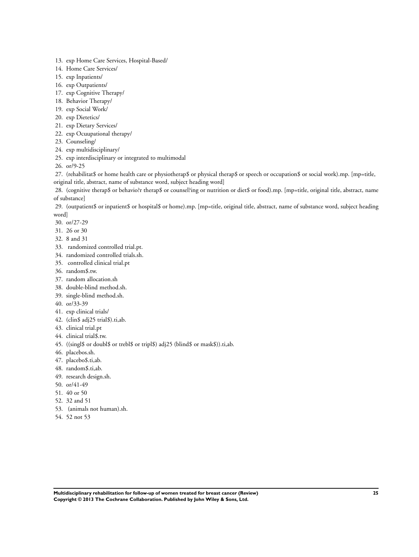- 13. exp Home Care Services, Hospital-Based/
- 14. Home Care Services/
- 15. exp Inpatients/
- 16. exp Outpatients/
- 17. exp Cognitive Therapy/
- 18. Behavior Therapy/
- 19. exp Social Work/
- 20. exp Dietetics/
- 21. exp Dietary Services/
- 22. exp Ocuupational therapy/
- 23. Counseling/
- 24. exp multidisciplinary/
- 25. exp interdisciplinary or integrated to multimodal

26. or/9-25

27. (rehabilitat\$ or home health care or physiotherap\$ or physical therap\$ or speech or occupation\$ or social work).mp. [mp=title, original title, abstract, name of substance word, subject heading word]

28. (cognitive therap\$ or behavio?r therap\$ or counsel?ing or nutrition or diet\$ or food).mp. [mp=title, original title, abstract, name of substance]

29. (outpatient\$ or inpatient\$ or hospital\$ or home).mp. [mp=title, original title, abstract, name of substance word, subject heading word]

- 30. or/27-29
- 31. 26 or 30
- 32. 8 and 31
- 33. randomized controlled trial.pt.
- 34. randomized controlled trials.sh.
- 35. controlled clinical trial.pt
- 36. random\$.tw.
- 37. random allocation.sh
- 38. double-blind method.sh.
- 39. single-blind method.sh.
- 40. or/33-39
- 41. exp clinical trials/
- 42. (clin\$ adj25 trial\$).ti,ab.
- 43. clinical trial.pt
- 44. clinical trial\$.tw.
- 45. ((singl\$ or doubl\$ or trebl\$ or tripl\$) adj25 (blind\$ or mask\$)).ti,ab.
- 46. placebos.sh.
- 47. placebo\$.ti,ab.
- 48. random\$.ti,ab.
- 49. research design.sh.
- 50. or/41-49
- 51. 40 or 50
- 52. 32 and 51
- 53. (animals not human).sh.
- 54. 52 not 53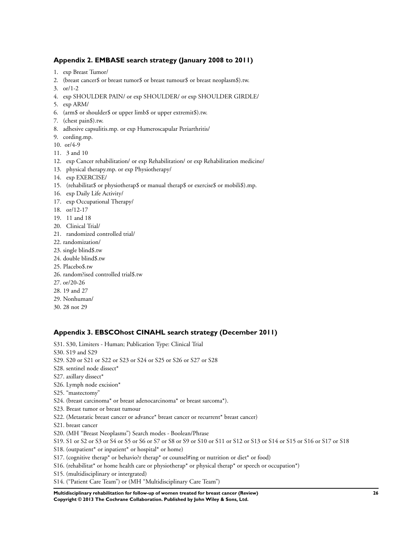# <span id="page-27-0"></span>**Appendix 2. EMBASE search strategy (January 2008 to 2011)**

- 1. exp Breast Tumor/
- 2. (breast cancer\$ or breast tumor\$ or breast tumour\$ or breast neoplasm\$).tw.
- 3. or/1-2
- 4. exp SHOULDER PAIN/ or exp SHOULDER/ or exp SHOULDER GIRDLE/
- 5. exp ARM/
- 6. (arm\$ or shoulder\$ or upper limb\$ or upper extremit\$).tw.
- 7. (chest pain\$).tw.
- 8. adhesive capsulitis.mp. or exp Humeroscapular Periarthritis/
- 9. cording.mp.
- 10. or/4-9
- 11. 3 and 10
- 12. exp Cancer rehabilitation/ or exp Rehabilitation/ or exp Rehabilitation medicine/
- 13. physical therapy.mp. or exp Physiotherapy/
- 14. exp EXERCISE/
- 15. (rehabilitat\$ or physiotherap\$ or manual therap\$ or exercise\$ or mobili\$).mp.
- 16. exp Daily Life Activity/
- 17. exp Occupational Therapy/
- 18. or/12-17
- 19. 11 and 18
- 20. Clinical Trial/
- 21. randomized controlled trial/
- 22. randomization/
- 23. single blind\$.tw
- 24. double blind\$.tw
- 25. Placebo\$.tw
- 26. random?ised controlled trial\$.tw
- 27. or/20-26
- 28. 19 and 27
- 29. Nonhuman/
- 30. 28 not 29

# **Appendix 3. EBSCOhost CINAHL search strategy (December 2011)**

- S31. S30, Limiters Human; Publication Type: Clinical Trial
- S30. S19 and S29
- S29. S20 or S21 or S22 or S23 or S24 or S25 or S26 or S27 or S28
- S28. sentinel node dissect\*
- S27. axillary dissect\*
- S26. Lymph node excision\*
- S25. "mastectomy"
- S24. (breast carcinoma<sup>\*</sup> or breast adenocarcinoma<sup>\*</sup> or breast sarcoma<sup>\*</sup>).
- S23. Breast tumor or breast tumour
- S22. (Metastatic breast cancer or advance\* breast cancer or recurrent\* breast cancer)
- S21. breast cancer
- S20. (MH "Breast Neoplasms") Search modes Boolean/Phrase
- S19. S1 or S2 or S3 or S4 or S5 or S6 or S7 or S8 or S9 or S10 or S11 or S12 or S13 or S14 or S15 or S16 or S17 or S18
- S18. (outpatient\* or inpatient\* or hospital\* or home)
- S17. (cognitive therap\* or behavio?r therap\* or counsel#ing or nutrition or diet\* or food)
- S16. (rehabilitat\* or home health care or physiotherap\* or physical therap\* or speech or occupation\*)
- S15. (multidisciplinary or intergrated)
- S14. ("Patient Care Team") or (MH "Multidisciplinary Care Team")

**Multidisciplinary rehabilitation for follow-up of women treated for breast cancer (Review) 26 Copyright © 2013 The Cochrane Collaboration. Published by John Wiley & Sons, Ltd.**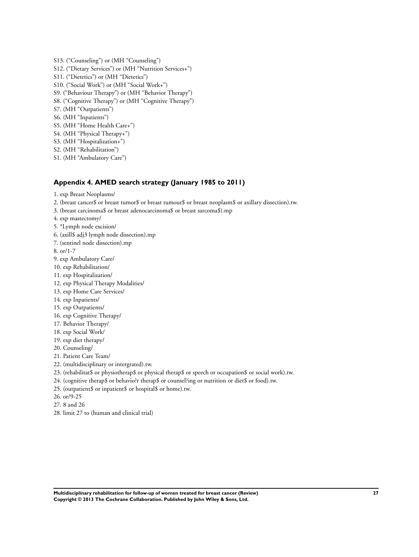- <span id="page-28-0"></span>S13. ("Counseling") or (MH "Counseling") S12. ("Dietary Services") or (MH "Nutrition Services+") S11. ("Dietetics") or (MH "Dietetics") S10. ("Social Work") or (MH "Social Work+") S9. ("Behaviour Therapy") or (MH "Behavior Therapy") S8. ("Cognitive Therapy") or (MH "Cognitive Therapy") S7. (MH "Outpatients") S6. (MH "Inpatients") S5. (MH "Home Health Care+") S4. (MH "Physical Therapy+")
- S3. (MH "Hospitalization+") S2. (MH "Rehabilitation")
- S1. (MH "Ambulatory Care")

# **Appendix 4. AMED search strategy (January 1985 to 2011)**

- 1. exp Breast Neoplasms/
- 2. (breast cancer\$ or breast tumor\$ or breast tumour\$ or breast neoplasm\$ or axillary dissection).tw.
- 3. (breast carcinoma\$ or breast adenocarcinoma\$ or breast sarcoma\$).mp
- 4. exp mastectomy/
- 5. \*Lymph node excision/
- 6. (axill\$ adj3 lymph node dissection).mp
- 7. (sentinel node dissection).mp
- 8. or/1-7
- 9. exp Ambulatory Care/
- 10. exp Rehabilitation/
- 11. exp Hospitalization/
- 12. exp Physical Therapy Modalities/
- 13. exp Home Care Services/
- 14. exp Inpatients/
- 15. exp Outpatients/
- 16. exp Cognitive Therapy/
- 17. Behavior Therapy/
- 18. exp Social Work/
- 19. exp diet therapy/
- 20. Counseling/
- 21. Patient Care Team/
- 22. (multidisciplinary or intergrated).tw.
- 23. (rehabilitat\$ or physiotherap\$ or physical therap\$ or speech or occupation\$ or social work).tw.
- 24. (cognitive therap\$ or behavio?r therap\$ or counsel?ing or nutrition or diet\$ or food).tw.
- 25. (outpatient\$ or inpatient\$ or hospital\$ or home).tw.
- 26. or/9-25
- 27. 8 and 26
- 28. limit 27 to (human and clinical trial)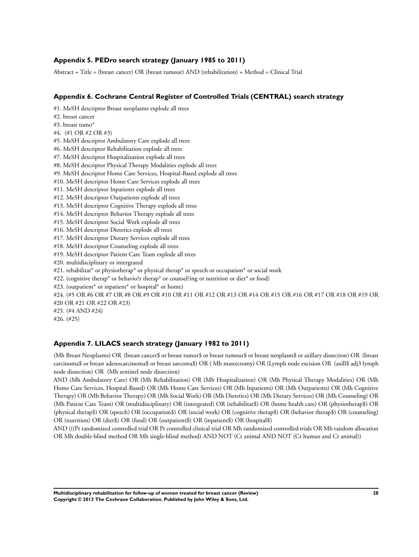# <span id="page-29-0"></span>**Appendix 5. PEDro search strategy (January 1985 to 2011)**

Abstract + Title = (breast cancer) OR (breast tumour) AND (rehabilitation) + Method = Clinical Trial

# **Appendix 6. Cochrane Central Register of Controlled Trials (CENTRAL) search strategy**

#1. MeSH descriptor Breast neoplasms explode all trees

- #2. breast cancer
- #3. breast tumo\*
- #4. (#1 OR #2 OR #3)
- #5. MeSH descriptor Ambulatory Care explode all trees
- #6. MeSH descriptor Rehabilitation explode all trees
- #7. MeSH descriptor Hospitalization explode all trees
- #8. MeSH descriptor Physical Therapy Modalities explode all trees
- #9. MeSH descriptor Home Care Services, Hospital-Based explode all trees
- #10. MeSH descriptor Home Care Services explode all trees
- #11. MeSH descriptor Inpatients explode all trees
- #12. MeSH descriptor Outpatients explode all trees
- #13. MeSH descriptor Cognitive Therapy explode all trees
- #14. MeSH descriptor Behavior Therapy explode all trees
- #15. MeSH descriptor Social Work explode all trees
- #16. MeSH descriptor Dietetics explode all trees
- #17. MeSH descriptor Dietary Services explode all trees
- #18. MeSH descriptor Counseling explode all trees
- #19. MeSH descriptor Patient Care Team explode all trees
- #20. multidisciplinary or intergrated
- #21. rehabilitat\* or physiotherap\* or physical therap\* or speech or occupation\* or social work
- #22. (cognitive therap\* or behavio?r therap\* or counsel?ing or nutrition or diet\* or food)
- #23. (outpatient\* or inpatient\* or hospital\* or home)
- #24. (#5 OR #6 OR #7 OR #8 OR #9 OR #10 OR #11 OR #12 OR #13 OR #14 OR #15 OR #16 OR #17 OR #18 OR #19 OR
- #20 OR #21 OR #22 OR #23)
- #25. (#4 AND #24)
- #26. (#25)

# **Appendix 7. LILACS search strategy (January 1982 to 2011)**

(Mh Breast Neoplasms) OR (breast cancer\$ or breast tumor\$ or breast tumour\$ or breast neoplasm\$ or axillary dissection) OR (breast carcinoma\$ or breast adenocarcinoma\$ or breast sarcoma\$) OR ( Mh mastectomy) OR (Lymph node excision OR (axill\$ adj3 lymph node dissection) OR (Mh sentinel node dissection)

AND (Mh Ambulatory Care) OR (Mh Rehabilitation) OR (Mh Hospitalization) OR (Mh Physical Therapy Modalities) OR (Mh Home Care Services, Hospital-Based) OR (Mh Home Care Services) OR (Mh Inpatients) OR (Mh Outpatients) OR (Mh Cognitive Therapy) OR (Mh Behavior Therapy) OR (Mh Social Work) OR (Mh Dietetics) OR (Mh Dietary Services) OR (Mh Counseling) OR (Mh Patient Care Team) OR (multidisciplinary) OR (intergrated) OR (rehabilitat\$) OR (home health care) OR (physiotherap\$) OR (physical therap\$) OR (speech) OR (occupation\$) OR (social work) OR (cognitive therap\$) OR (behavior therap\$) OR (counseling) OR (nutrition) OR (diet\$) OR (food) OR (outpatient\$) OR (inpatient\$) OR (hospital\$)

AND (((Pt randomized controlled trial OR Pt controlled clinical trial OR Mh randomized controlled trials OR Mh random allocation OR Mh double-blind method OR Mh single-blind method) AND NOT (Ct animal AND NOT (Ct human and Ct animal))

**Multidisciplinary rehabilitation for follow-up of women treated for breast cancer (Review) 28 Copyright © 2013 The Cochrane Collaboration. Published by John Wiley & Sons, Ltd.**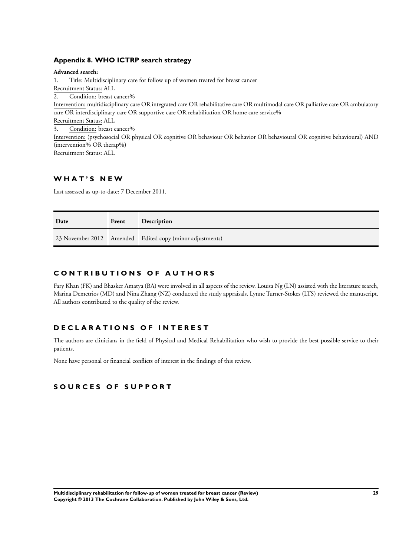# <span id="page-30-0"></span>**Appendix 8. WHO ICTRP search strategy**

### **Advanced search:**

1. Title: Multidisciplinary care for follow up of women treated for breast cancer Recruitment Status: ALL 2. Condition: breast cancer% Intervention: multidisciplinary care OR integrated care OR rehabilitative care OR multimodal care OR palliative care OR ambulatory care OR interdisciplinary care OR supportive care OR rehabilitation OR home care service% Recruitment Status: ALL 3. Condition: breast cancer% Intervention: (psychosocial OR physical OR cognitive OR behaviour OR behavior OR behavioural OR cognitive behavioural) AND (intervention% OR therap%) Recruitment Status: ALL

# **W H A T ' S N E W**

Last assessed as up-to-date: 7 December 2011.

| Date | Event | Description                                              |
|------|-------|----------------------------------------------------------|
|      |       | 23 November 2012 Amended Edited copy (minor adjustments) |

# **C O N T R I B U T I O N S O F A U T H O R S**

Fary Khan (FK) and Bhasker Amatya (BA) were involved in all aspects of the review. Louisa Ng (LN) assisted with the literature search, Marina Demetrios (MD) and Nina Zhang (NZ) conducted the study appraisals. Lynne Turner-Stokes (LTS) reviewed the manuscript. All authors contributed to the quality of the review.

# **D E C L A R A T I O N S O F I N T E R E S T**

The authors are clinicians in the field of Physical and Medical Rehabilitation who wish to provide the best possible service to their patients.

None have personal or financial conflicts of interest in the findings of this review.

# **S O U R C E S O F S U P P O R T**